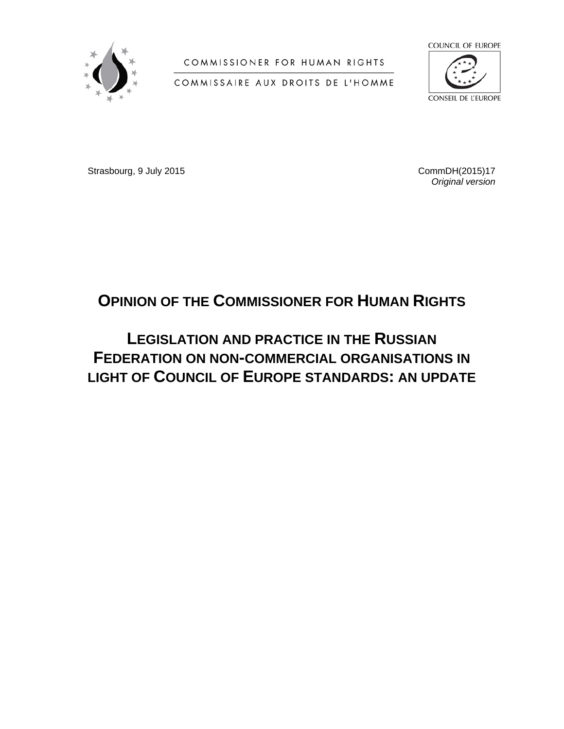

COMMISSIONER FOR HUMAN RIGHTS

COMMISSAIRE AUX DROITS DE L'HOMME



Strasbourg, 9 July 2015 2015 2016 2017 2018 2019 2018 2019 2018 2019 2019 2018 2019 2019 2018 2019 2019 2019 20

*Original version*

# **OPINION OF THE COMMISSIONER FOR HUMAN RIGHTS**

# **LEGISLATION AND PRACTICE IN THE RUSSIAN FEDERATION ON NON-COMMERCIAL ORGANISATIONS IN LIGHT OF COUNCIL OF EUROPE STANDARDS: AN UPDATE**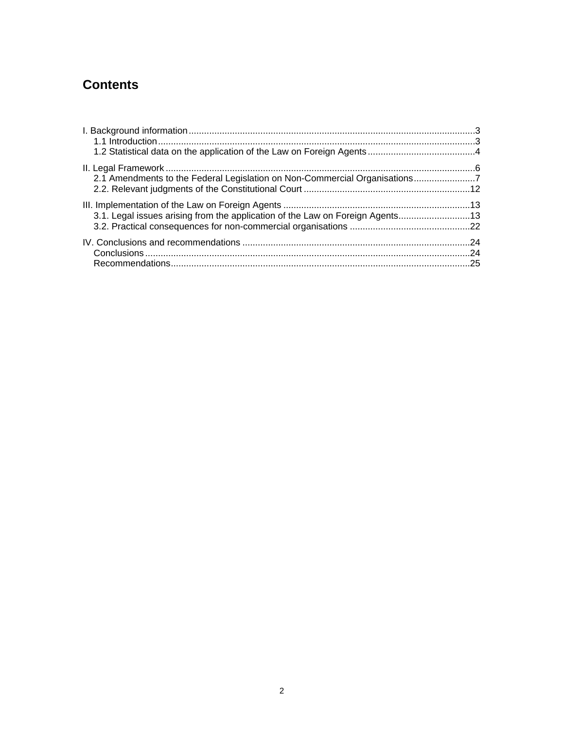## **Contents**

| 2.1 Amendments to the Federal Legislation on Non-Commercial Organisations7    |  |
|-------------------------------------------------------------------------------|--|
|                                                                               |  |
|                                                                               |  |
| 3.1. Legal issues arising from the application of the Law on Foreign Agents13 |  |
|                                                                               |  |
|                                                                               |  |
|                                                                               |  |
|                                                                               |  |
|                                                                               |  |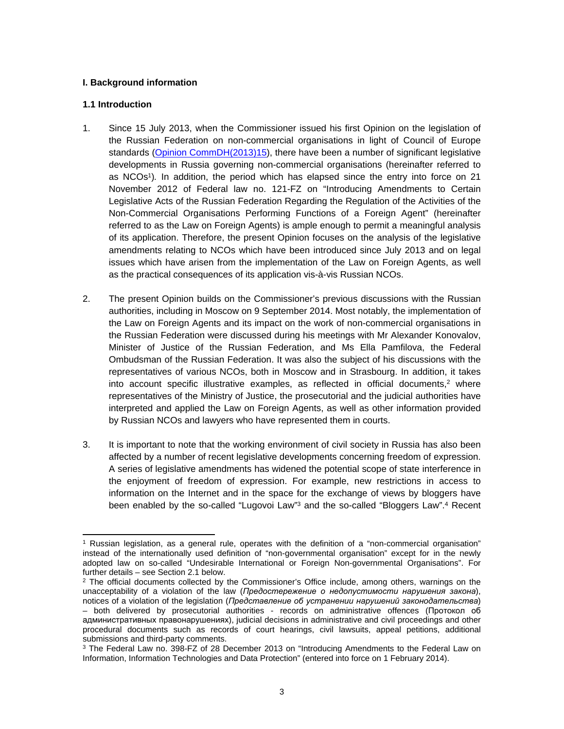#### <span id="page-2-0"></span>**I. Background information**

#### <span id="page-2-1"></span>**1.1 Introduction**

- 1. Since 15 July 2013, when the Commissioner issued his first Opinion on the legislation of the Russian Federation on non-commercial organisations in light of Council of Europe standards [\(Opinion CommDH\(2013\)15\)](https://wcd.coe.int/ViewDoc.jsp?id=2086667&Site=COE&BackColorInternet=B9BDEE&BackColorIntranet=FFCD4F&BackColorLogged=FFC679), there have been a number of significant legislative developments in Russia governing non-commercial organisations (hereinafter referred to as NCOs<sup>1</sup> )*.* In addition, the period which has elapsed since the entry into force on 21 November 2012 of Federal law no. 121-FZ on "Introducing Amendments to Certain Legislative Acts of the Russian Federation Regarding the Regulation of the Activities of the Non-Commercial Organisations Performing Functions of a Foreign Agent" (hereinafter referred to as the Law on Foreign Agents) is ample enough to permit a meaningful analysis of its application. Therefore, the present Opinion focuses on the analysis of the legislative amendments relating to NCOs which have been introduced since July 2013 and on legal issues which have arisen from the implementation of the Law on Foreign Agents, as well as the practical consequences of its application vis-à-vis Russian NCOs.
- 2. The present Opinion builds on the Commissioner's previous discussions with the Russian authorities, including in Moscow on 9 September 2014. Most notably, the implementation of the Law on Foreign Agents and its impact on the work of non-commercial organisations in the Russian Federation were discussed during his meetings with Mr Alexander Konovalov, Minister of Justice of the Russian Federation, and Ms Ella Pamfilova, the Federal Ombudsman of the Russian Federation. It was also the subject of his discussions with the representatives of various NCOs, both in Moscow and in Strasbourg. In addition, it takes into account specific illustrative examples, as reflected in official documents,<sup>2</sup> where representatives of the Ministry of Justice, the prosecutorial and the judicial authorities have interpreted and applied the Law on Foreign Agents, as well as other information provided by Russian NCOs and lawyers who have represented them in courts.
- 3. It is important to note that the working environment of civil society in Russia has also been affected by a number of recent legislative developments concerning freedom of expression. A series of legislative amendments has widened the potential scope of state interference in the enjoyment of freedom of expression. For example, new restrictions in access to information on the Internet and in the space for the exchange of views by bloggers have been enabled by the so-called "Lugovoi Law"<sup>3</sup> and the so-called "Bloggers Law".<sup>4</sup> Recent

<sup>1</sup> Russian legislation, as a general rule, operates with the definition of a "non-commercial organisation" instead of the internationally used definition of "non-governmental organisation" except for in the newly adopted law on so-called "Undesirable International or Foreign Non-governmental Organisations". For further details – see Section 2.1 below.

<sup>&</sup>lt;sup>2</sup> The official documents collected by the Commissioner's Office include, among others, warnings on the unacceptability of a violation of the law (*Предостережение о недопустимости нарушения закона*), notices of a violation of the lеgislation (*Представление об устранении нарушений законодательства*) – both delivered by prosecutorial authorities - records on administrative offences (Протокол об административных правонарушениях), judicial decisions in administrative and civil proceedings and other procedural documents such as records of court hearings, civil lawsuits, appeal petitions, additional submissions and third-party comments.

<sup>&</sup>lt;sup>3</sup> The Federal Law no. 398-FZ of 28 December 2013 on "Introducing Amendments to the Federal Law on Information, Information Technologies and Data Protection" (entered into force on 1 February 2014).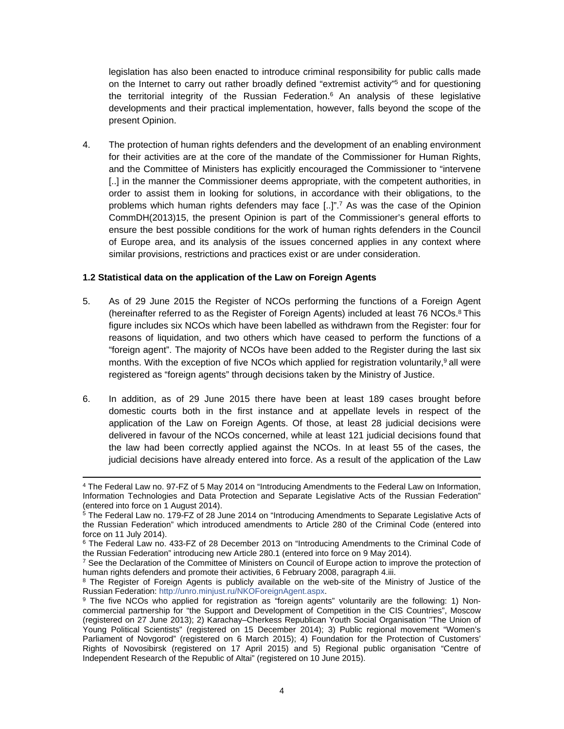legislation has also been enacted to introduce criminal responsibility for public calls made on the Internet to carry out rather broadly defined "extremist activity"<sup>5</sup> and for questioning the territorial integrity of the Russian Federation.<sup>6</sup> An analysis of these legislative developments and their practical implementation, however, falls beyond the scope of the present Opinion.

4. The protection of human rights defenders and the development of an enabling environment for their activities are at the core of the mandate of the Commissioner for Human Rights, and the Committee of Ministers has explicitly encouraged the Commissioner to "intervene [..] in the manner the Commissioner deems appropriate, with the competent authorities, in order to assist them in looking for solutions, in accordance with their obligations, to the problems which human rights defenders may face [..]".<sup>7</sup> As was the case of the Opinion CommDH(2013)15, the present Opinion is part of the Commissioner's general efforts to ensure the best possible conditions for the work of human rights defenders in the Council of Europe area, and its analysis of the issues concerned applies in any context where similar provisions, restrictions and practices exist or are under consideration.

#### <span id="page-3-0"></span>**1.2 Statistical data on the application of the Law on Foreign Agents**

- 5. As of 29 June 2015 the Register of NCOs performing the functions of a Foreign Agent (hereinafter referred to as the Register of Foreign Agents) included at least 76 NCOs.<sup>8</sup> This figure includes six NCOs which have been labelled as withdrawn from the Register: four for reasons of liquidation, and two others which have ceased to perform the functions of a "foreign agent". The majority of NCOs have been added to the Register during the last six months. With the exception of five NCOs which applied for registration voluntarily,<sup>9</sup> all were registered as "foreign agents" through decisions taken by the Ministry of Justice.
- 6. In addition, as of 29 June 2015 there have been at least 189 cases brought before domestic courts both in the first instance and at appellate levels in respect of the application of the Law on Foreign Agents. Of those, at least 28 judicial decisions were delivered in favour of the NCOs concerned, while at least 121 judicial decisions found that the law had been correctly applied against the NCOs. In at least 55 of the cases, the judicial decisions have already entered into force. As a result of the application of the Law

<sup>4</sup> The Federal Law no. 97-FZ of 5 May 2014 on "Introducing Amendments to the Federal Law on Information, Information Technologies and Data Protection and Separate Legislative Acts of the Russian Federation" (entered into force on 1 August 2014).

<sup>5</sup> The Federal Law no. 179-FZ of 28 June 2014 on "Introducing Amendments to Separate Legislative Acts of the Russian Federation" which introduced amendments to Article 280 of the Criminal Code (entered into force on 11 July 2014).

<sup>&</sup>lt;sup>6</sup> The Federal Law no. 433-FZ of 28 December 2013 on "Introducing Amendments to the Criminal Code of the Russian Federation" introducing new Article 280.1 (entered into force on 9 May 2014).

<sup>&</sup>lt;sup>7</sup> See the Declaration of the Committee of Ministers on Council of Europe action to improve the protection of human rights defenders and promote their activities, 6 February 2008, paragraph 4.iii.

<sup>&</sup>lt;sup>8</sup> The Register of Foreign Agents is publicly available on the web-site of the Ministry of Justice of the Russian Federation: <http://unro.minjust.ru/NKOForeignAgent.aspx>.

<sup>&</sup>lt;sup>9</sup> The five NCOs who applied for registration as "foreign agents" voluntarily are the following: 1) Noncommercial partnership for "the Support and Development of Competition in the CIS Countries", Moscow (registered on 27 June 2013); 2) Karachay–Cherkess Republican Youth Social Organisation "The Union of Young Political Scientists" (registered on 15 December 2014); 3) Public regional movement "Women's Parliament of Novgorod" (registered on 6 March 2015); 4) Foundation for the Protection of Customers' Rights of Novosibirsk (registered on 17 April 2015) and 5) Regional public organisation "Centre of Independent Research of the Republic of Altai" (registered on 10 June 2015).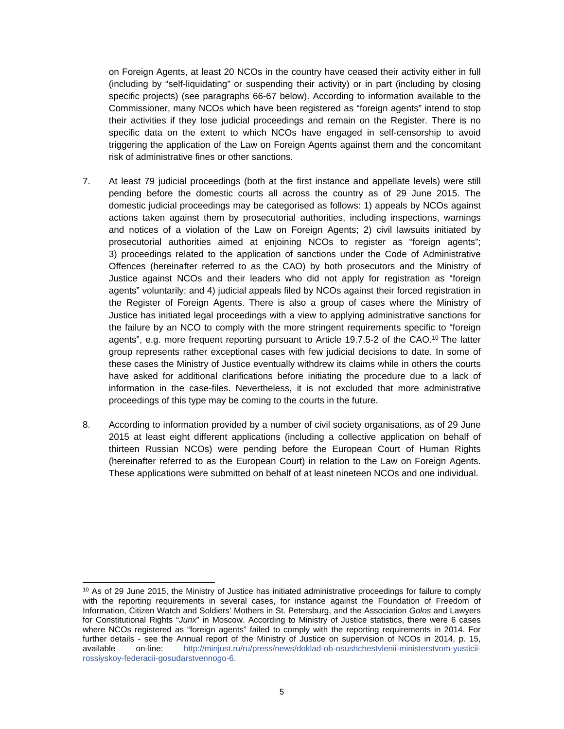on Foreign Agents, at least 20 NCOs in the country have ceased their activity either in full (including by "self-liquidating" or suspending their activity) or in part (including by closing specific projects) (see paragraphs 66-67 below). According to information available to the Commissioner, many NCOs which have been registered as "foreign agents" intend to stop their activities if they lose judicial proceedings and remain on the Register. There is no specific data on the extent to which NCOs have engaged in self-censorship to avoid triggering the application of the Law on Foreign Agents against them and the concomitant risk of administrative fines or other sanctions.

- 7. At least 79 judicial proceedings (both at the first instance and appellate levels) were still pending before the domestic courts all across the country as of 29 June 2015. The domestic judicial proceedings may be categorised as follows: 1) appeals by NCOs against actions taken against them by prosecutorial authorities, including inspections, warnings and notices of a violation of the Law on Foreign Agents; 2) civil lawsuits initiated by prosecutorial authorities aimed at enjoining NCOs to register as "foreign agents"; 3) proceedings related to the application of sanctions under the Code of Administrative Offences (hereinafter referred to as the CAO) by both prosecutors and the Ministry of Justice against NCOs and their leaders who did not apply for registration as "foreign agents" voluntarily; and 4) judicial appeals filed by NCOs against their forced registration in the Register of Foreign Agents. There is also a group of cases where the Ministry of Justice has initiated legal proceedings with a view to applying administrative sanctions for the failure by an NCO to comply with the more stringent requirements specific to "foreign agents", e.g. more frequent reporting pursuant to Article 19.7.5-2 of the CAO.<sup>10</sup> The latter group represents rather exceptional cases with few judicial decisions to date. In some of these cases the Ministry of Justice eventually withdrew its claims while in others the courts have asked for additional clarifications before initiating the procedure due to a lack of information in the case-files. Nevertheless, it is not excluded that more administrative proceedings of this type may be coming to the courts in the future.
- 8. According to information provided by a number of civil society organisations, as of 29 June 2015 at least eight different applications (including a collective application on behalf of thirteen Russian NCOs) were pending before the European Court of Human Rights (hereinafter referred to as the European Court) in relation to the Law on Foreign Agents. These applications were submitted on behalf of at least nineteen NCOs and one individual.

<sup>&</sup>lt;sup>10</sup> As of 29 June 2015, the Ministry of Justice has initiated administrative proceedings for failure to comply with the reporting requirements in several cases, for instance against the Foundation of Freedom of Information, Citizen Watch and Soldiers' Mothers in St. Petersburg, and the Association *Golos* and Lawyers for Constitutional Rights "*Jurix*" in Moscow. According to Ministry of Justice statistics, there were 6 cases where NCOs registered as "foreign agents" failed to comply with the reporting requirements in 2014. For further details - see the Annual report of the Ministry of Justice on supervision of NCOs in 2014, p. 15, available on-line: [http://minjust.ru/ru/press/news/doklad-ob-osushchestvlenii-ministerstvom-yusticii](http://minjust.ru/ru/press/news/doklad-ob-osushchestvlenii-ministerstvom-yusticii-rossiyskoy-federacii-gosudarstvennogo-6)[rossiyskoy-federacii-gosudarstvennogo-6.](http://minjust.ru/ru/press/news/doklad-ob-osushchestvlenii-ministerstvom-yusticii-rossiyskoy-federacii-gosudarstvennogo-6)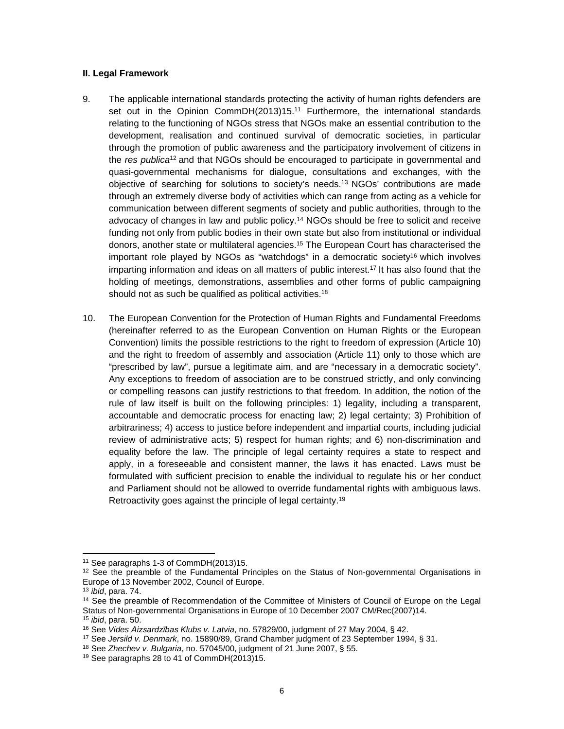#### <span id="page-5-0"></span>**II. Legal Framework**

- 9. The applicable international standards protecting the activity of human rights defenders are set out in the Opinion CommDH(2013)15.<sup>11</sup> Furthermore, the international standards relating to the functioning of NGOs stress that NGOs make an essential contribution to the development, realisation and continued survival of democratic societies, in particular through the promotion of public awareness and the participatory involvement of citizens in the *res publica*<sup>12</sup>and that NGOs should be encouraged to participate in governmental and quasi-governmental mechanisms for dialogue, consultations and exchanges, with the objective of searching for solutions to society's needs.<sup>13</sup>NGOs' contributions are made through an extremely diverse body of activities which can range from acting as a vehicle for communication between different segments of society and public authorities, through to the advocacy of changes in law and public policy.<sup>14</sup> NGOs should be free to solicit and receive funding not only from public bodies in their own state but also from institutional or individual donors, another state or multilateral agencies.<sup>15</sup> The European Court has characterised the important role played by NGOs as "watchdogs" in a democratic society<sup>16</sup> which involves imparting information and ideas on all matters of public interest.<sup>17</sup> It has also found that the holding of meetings, demonstrations, assemblies and other forms of public campaigning should not as such be qualified as political activities.<sup>18</sup>
- 10. The European Convention for the Protection of Human Rights and Fundamental Freedoms (hereinafter referred to as the European Convention on Human Rights or the European Convention) limits the possible restrictions to the right to freedom of expression (Article 10) and the right to freedom of assembly and association (Article 11) only to those which are "prescribed by law", pursue a legitimate aim, and are "necessary in a democratic society". Any exceptions to freedom of association are to be construed strictly, and only convincing or compelling reasons can justify restrictions to that freedom. In addition, the notion of the rule of law itself is built on the following principles: 1) legality, including a transparent, accountable and democratic process for enacting law; 2) legal certainty; 3) Prohibition of arbitrariness; 4) access to justice before independent and impartial courts, including judicial review of administrative acts; 5) respect for human rights; and 6) non-discrimination and equality before the law. The principle of legal certainty requires a state to respect and apply, in a foreseeable and consistent manner, the laws it has enacted. Laws must be formulated with sufficient precision to enable the individual to regulate his or her conduct and Parliament should not be allowed to override fundamental rights with ambiguous laws. Retroactivity goes against the principle of legal certainty.<sup>19</sup>

<sup>11</sup> See paragraphs 1-3 of CommDH(2013)15.

 $12$  See the preamble of the Fundamental Principles on the Status of Non-governmental Organisations in Europe of 13 November 2002, Council of Europe.

<sup>13</sup> *ibid*, para. 74.

<sup>&</sup>lt;sup>14</sup> See the preamble of Recommendation of the Committee of Ministers of Council of Europe on the Legal Status of Non-governmental Organisations in Europe of 10 December 2007 CM/Rec(2007)14. <sup>15</sup> *ibid*, para. 50.

<sup>16</sup> See *Vides Aizsardzības Klubs v. Latvia*, no. 57829/00, judgment of 27 May 2004, § 42.

<sup>17</sup> See *Jersild v. Denmark*, no. 15890/89, Grand Chamber judgment of 23 September 1994, § 31.

<sup>18</sup> See *Zhechev v. Bulgaria*, no. 57045/00, judgment of 21 June 2007, § 55.

<sup>19</sup> See paragraphs 28 to 41 of CommDH(2013)15.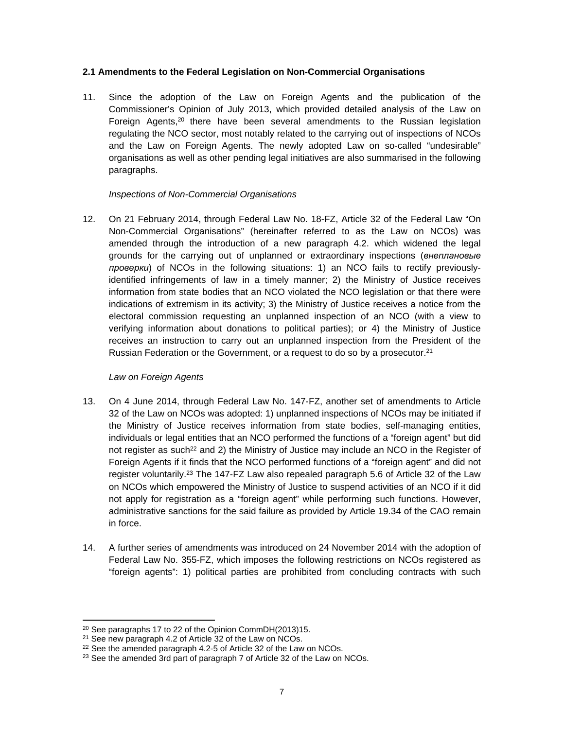#### <span id="page-6-0"></span>**2.1 Amendments to the Federal Legislation on Non-Commercial Organisations**

11. Since the adoption of the Law on Foreign Agents and the publication of the Commissioner's Opinion of July 2013, which provided detailed analysis of the Law on Foreign Agents, $20$  there have been several amendments to the Russian legislation regulating the NCO sector, most notably related to the carrying out of inspections of NCOs and the Law on Foreign Agents. The newly adopted Law on so-called "undesirable" organisations as well as other pending legal initiatives are also summarised in the following paragraphs.

## *Inspections of Non-Commercial Organisations*

12. On 21 February 2014, through Federal Law No. 18-FZ, Article 32 of the Federal Law "On Non-Commercial Organisations" (hereinafter referred to as the Law on NCOs) was amended through the introduction of a new paragraph 4.2. which widened the legal grounds for the carrying out of unplanned or extraordinary inspections (*внеплановые проверки*) of NCOs in the following situations: 1) an NCO fails to rectify previouslyidentified infringements of law in a timely manner; 2) the Ministry of Justice receives information from state bodies that an NCO violated the NCO legislation or that there were indications of extremism in its activity; 3) the Ministry of Justice receives a notice from the electoral commission requesting an unplanned inspection of an NCO (with a view to verifying information about donations to political parties); or 4) the Ministry of Justice receives an instruction to carry out an unplanned inspection from the President of the Russian Federation or the Government, or a request to do so by a prosecutor.<sup>21</sup>

## *Law on Foreign Agents*

- 13. On 4 June 2014, through Federal Law No. 147-FZ, another set of amendments to Article 32 of the Law on NCOs was adopted: 1) unplanned inspections of NCOs may be initiated if the Ministry of Justice receives information from state bodies, self-managing entities, individuals or legal entities that an NCO performed the functions of a "foreign agent" but did not register as such<sup>22</sup> and 2) the Ministry of Justice may include an NCO in the Register of Foreign Agents if it finds that the NCO performed functions of a "foreign agent" and did not register voluntarily.<sup>23</sup> The 147-FZ Law also repealed paragraph 5.6 of Article 32 of the Law on NCOs which empowered the Ministry of Justice to suspend activities of an NCO if it did not apply for registration as a "foreign agent" while performing such functions. However, administrative sanctions for the said failure as provided by Article 19.34 of the CAO remain in force.
- 14. A further series of amendments was introduced on 24 November 2014 with the adoption of Federal Law No. 355-FZ, which imposes the following restrictions on NCOs registered as "foreign agents": 1) political parties are prohibited from concluding contracts with such

<sup>20</sup> See paragraphs 17 to 22 of the Opinion CommDH(2013)15.

<sup>&</sup>lt;sup>21</sup> See new paragraph 4.2 of Article 32 of the Law on NCOs.

<sup>&</sup>lt;sup>22</sup> See the amended paragraph 4.2-5 of Article 32 of the Law on NCOs.

<sup>&</sup>lt;sup>23</sup> See the amended 3rd part of paragraph 7 of Article 32 of the Law on NCOs.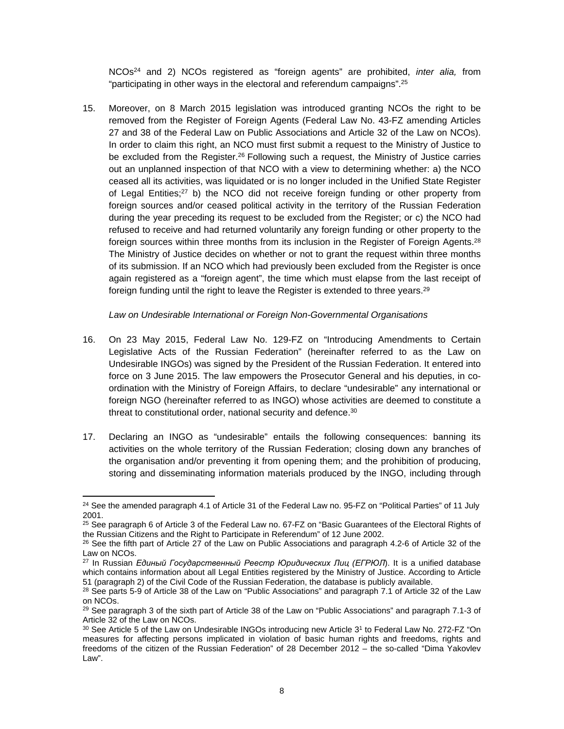NCOs<sup>24</sup> and 2) NCOs registered as "foreign agents" are prohibited, *inter alia,* from "participating in other ways in the electoral and referendum campaigns".<sup>25</sup>

15. Moreover, on 8 March 2015 legislation was introduced granting NCOs the right to be removed from the Register of Foreign Agents (Federal Law No. 43-FZ amending Articles 27 and 38 of the Federal Law on Public Associations and Article 32 of the Law on NCOs). In order to claim this right, an NCO must first submit a request to the Ministry of Justice to be excluded from the Register.<sup>26</sup> Following such a request, the Ministry of Justice carries out an unplanned inspection of that NCO with a view to determining whether: a) the NCO ceased all its activities, was liquidated or is no longer included in the Unified State Register of Legal Entities; $27$  b) the NCO did not receive foreign funding or other property from foreign sources and/or ceased political activity in the territory of the Russian Federation during the year preceding its request to be excluded from the Register; or c) the NCO had refused to receive and had returned voluntarily any foreign funding or other property to the foreign sources within three months from its inclusion in the Register of Foreign Agents.<sup>28</sup> The Ministry of Justice decides on whether or not to grant the request within three months of its submission. If an NCO which had previously been excluded from the Register is once again registered as a "foreign agent", the time which must elapse from the last receipt of foreign funding until the right to leave the Register is extended to three years.<sup>29</sup>

*Law on Undesirable International or Foreign Non-Governmental Organisations*

- 16. On 23 May 2015, Federal Law No. 129-FZ on "Introducing Amendments to Certain Legislative Acts of the Russian Federation" (hereinafter referred to as the Law on Undesirable INGOs) was signed by the President of the Russian Federation. It entered into force on 3 June 2015. The law empowers the Prosecutor General and his deputies, in coordination with the Ministry of Foreign Affairs, to declare "undesirable" any international or foreign NGO (hereinafter referred to as INGO) whose activities are deemed to constitute a threat to constitutional order, national security and defence.<sup>30</sup>
- 17. Declaring an INGO as "undesirable" entails the following consequences: banning its activities on the whole territory of the Russian Federation; closing down any branches of the organisation and/or preventing it from opening them; and the prohibition of producing, storing and disseminating information materials produced by the INGO, including through

<sup>&</sup>lt;sup>24</sup> See the amended paragraph 4.1 of Article 31 of the Federal Law no. 95-FZ on "Political Parties" of 11 July 2001.

<sup>&</sup>lt;sup>25</sup> See paragraph 6 of Article 3 of the Federal Law no. 67-FZ on "Basic Guarantees of the Electoral Rights of the Russian Citizens and the Right to Participate in Referendum" of 12 June 2002.

 $^{26}$  See the fifth part of Article 27 of the Law on Public Associations and paragraph 4.2-6 of Article 32 of the Law on NCOs.

<sup>27</sup> In Russian *Единый Государственный Реестр Юридических Лиц (ЕГРЮЛ*). It is a unified database which contains information about all Legal Entities registered by the Ministry of Justice. According to Article 51 (paragraph 2) of the Civil Code of the Russian Federation, the database is publicly available.

<sup>&</sup>lt;sup>28</sup> See parts 5-9 of Article 38 of the Law on "Public Associations" and paragraph 7.1 of Article 32 of the Law on NCOs.

 $29$  See paragraph 3 of the sixth part of Article 38 of the Law on "Public Associations" and paragraph 7.1-3 of Article 32 of the Law on NCOs.

<sup>&</sup>lt;sup>30</sup> See Article 5 of the Law on Undesirable INGOs introducing new Article 3<sup>1</sup> to Federal Law No. 272-FZ "On measures for affecting persons implicated in violation of basic human rights and freedoms, rights and freedoms of the citizen of the Russian Federation" of 28 December 2012 – the so-called "Dima Yakovlev Law".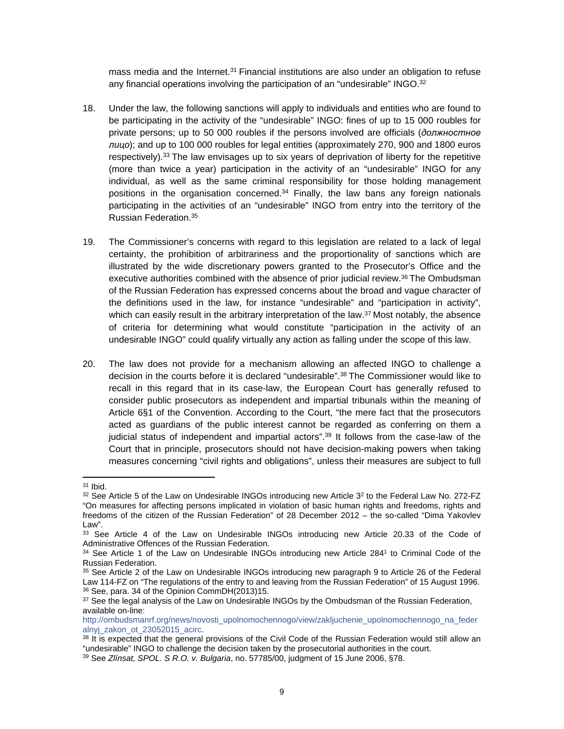mass media and the Internet. $31$  Financial institutions are also under an obligation to refuse any financial operations involving the participation of an "undesirable" INGO.<sup>32</sup>

- 18. Under the law, the following sanctions will apply to individuals and entities who are found to be participating in the activity of the "undesirable" INGO: fines of up to 15 000 roubles for private persons; up to 50 000 roubles if the persons involved are officials (*должностное лицо*); and up to 100 000 roubles for legal entities (approximately 270, 900 and 1800 euros respectively).<sup>33</sup> The law envisages up to six years of deprivation of liberty for the repetitive (more than twice a year) participation in the activity of an "undesirable" INGO for any individual, as well as the same criminal responsibility for those holding management positions in the organisation concerned. $34$  Finally, the law bans any foreign nationals participating in the activities of an "undesirable" INGO from entry into the territory of the Russian Federation.<sup>35</sup>
- 19. The Commissioner's concerns with regard to this legislation are related to a lack of legal certainty, the prohibition of arbitrariness and the proportionality of sanctions which are illustrated by the wide discretionary powers granted to the Prosecutor's Office and the executive authorities combined with the absence of prior judicial review.<sup>36</sup> The Ombudsman of the Russian Federation has expressed concerns about the broad and vague character of the definitions used in the law, for instance "undesirable" and "participation in activity", which can easily result in the arbitrary interpretation of the law. $37$  Most notably, the absence of criteria for determining what would constitute "participation in the activity of an undesirable INGO" could qualify virtually any action as falling under the scope of this law.
- 20. The law does not provide for a mechanism allowing an affected INGO to challenge a decision in the courts before it is declared "undesirable".<sup>38</sup> The Commissioner would like to recall in this regard that in its case-law, the European Court has generally refused to consider public prosecutors as independent and impartial tribunals within the meaning of Article 6§1 of the Convention. According to the Court, "the mere fact that the prosecutors acted as guardians of the public interest cannot be regarded as conferring on them a judicial status of independent and impartial actors".<sup>39</sup> It follows from the case-law of the Court that in principle, prosecutors should not have decision-making powers when taking measures concerning "civil rights and obligations", unless their measures are subject to full

<sup>31</sup> Ibid.

 $32$  See Article 5 of the Law on Undesirable INGOs introducing new Article  $3<sup>2</sup>$  to the Federal Law No. 272-FZ "On measures for affecting persons implicated in violation of basic human rights and freedoms, rights and freedoms of the citizen of the Russian Federation" of 28 December 2012 – the so-called "Dima Yakovlev Law".

<sup>33</sup> See Article 4 of the Law on Undesirable INGOs introducing new Article 20.33 of the Code of Administrative Offences of the Russian Federation.

<sup>&</sup>lt;sup>34</sup> See Article 1 of the Law on Undesirable INGOs introducing new Article 284<sup>1</sup> to Criminal Code of the Russian Federation.

<sup>35</sup> See Article 2 of the Law on Undesirable INGOs introducing new paragraph 9 to Article 26 of the Federal Law 114-FZ on "The regulations of the entry to and leaving from the Russian Federation" of 15 August 1996. <sup>36</sup> See, para. 34 of the Opinion CommDH(2013)15.

<sup>&</sup>lt;sup>37</sup> See the legal analysis of the Law on Undesirable INGOs by the Ombudsman of the Russian Federation, available on-line:

[http://ombudsmanrf.org/news/novosti\\_upolnomochennogo/view/zakljuchenie\\_upolnomochennogo\\_na\\_feder](http://ombudsmanrf.org/news/novosti_upolnomochennogo/view/zakljuchenie_upolnomochennogo_na_federalnyj_zakon_ot_23052015_acirc) alnyi zakon ot 23052015 acirc.

<sup>&</sup>lt;sup>38</sup> It is expected that the general provisions of the Civil Code of the Russian Federation would still allow an "undesirable" INGO to challenge the decision taken by the prosecutorial authorities in the court.

<sup>39</sup> See *Zlínsat, SPOL. S R.O. v. Bulgaria*, no. 57785/00, judgment of 15 June 2006, §78.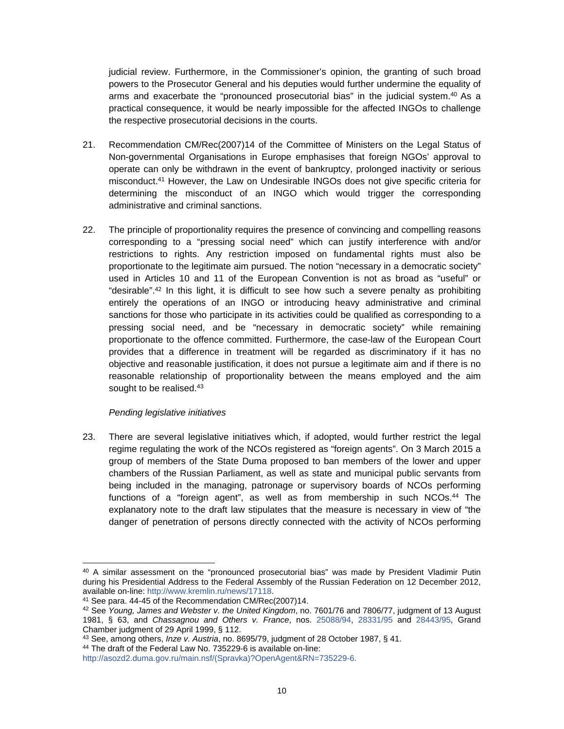judicial review. Furthermore, in the Commissioner's opinion, the granting of such broad powers to the Prosecutor General and his deputies would further undermine the equality of arms and exacerbate the "pronounced prosecutorial bias" in the judicial system. $40$  As a practical consequence, it would be nearly impossible for the affected INGOs to challenge the respective prosecutorial decisions in the courts.

- 21. Recommendation CM/Rec(2007)14 of the Committee of Ministers on the Legal Status of Non-governmental Organisations in Europe emphasises that foreign NGOs' approval to operate can only be withdrawn in the event of bankruptcy, prolonged inactivity or serious misconduct.<sup>41</sup> However, the Law on Undesirable INGOs does not give specific criteria for determining the misconduct of an INGO which would trigger the corresponding administrative and criminal sanctions.
- 22. The principle of proportionality requires the presence of convincing and compelling reasons corresponding to a "pressing social need" which can justify interference with and/or restrictions to rights. Any restriction imposed on fundamental rights must also be proportionate to the legitimate aim pursued. The notion "necessary in a democratic society" used in Articles 10 and 11 of the European Convention is not as broad as "useful" or "desirable".<sup>42</sup> In this light, it is difficult to see how such a severe penalty as prohibiting entirely the operations of an INGO or introducing heavy administrative and criminal sanctions for those who participate in its activities could be qualified as corresponding to a pressing social need, and be "necessary in democratic society" while remaining proportionate to the offence committed. Furthermore, the case-law of the European Court provides that a difference in treatment will be regarded as discriminatory if it has no objective and reasonable justification, it does not pursue a legitimate aim and if there is no reasonable relationship of proportionality between the means employed and the aim sought to be realised.<sup>43</sup>

## *Pending legislative initiatives*

23. There are several legislative initiatives which, if adopted, would further restrict the legal regime regulating the work of the NCOs registered as "foreign agents". On 3 March 2015 a group of members of the State Duma proposed to ban members of the lower and upper chambers of the Russian Parliament, as well as state and municipal public servants from being included in the managing, patronage or supervisory boards of NCOs performing functions of a "foreign agent", as well as from membership in such NCOs.<sup>44</sup> The explanatory note to the draft law stipulates that the measure is necessary in view of "the danger of penetration of persons directly connected with the activity of NCOs performing

<sup>&</sup>lt;sup>40</sup> A similar assessment on the "pronounced prosecutorial bias" was made by President Vladimir Putin during his Presidential Address to the Federal Assembly of the Russian Federation on 12 December 2012, available on-line: [http://www.kremlin.ru/news/17118.](http://www.kremlin.ru/news/17118)

<sup>41</sup> See para. 44-45 of the Recommendation CM/Rec(2007)14.

<sup>42</sup> See *Young, James and Webster v. the United Kingdom*, no. 7601/76 and 7806/77, judgment of 13 August 1981, § 63, and *Chassagnou and Others v. France*, nos. [25088/94](http://hudoc.echr.coe.int/sites/eng/Pages/search.aspx#{"appno":["25088/94"]}), [28331/95](http://hudoc.echr.coe.int/sites/eng/Pages/search.aspx#{"appno":["28331/95"]}) and [28443/95](http://hudoc.echr.coe.int/sites/eng/Pages/search.aspx#{"appno":["28443/95"]}), Grand Chamber judgment of 29 April 1999, § 112.

<sup>43</sup> See, among others, *Inze v. Austria*, no. 8695/79, judgment of 28 October 1987, § 41.

<sup>44</sup> The draft of the Federal Law No. 735229-6 is available on-line:

[http://asozd2.duma.gov.ru/main.nsf/\(Spravka\)?OpenAgent&RN=735229-6.](http://asozd2.duma.gov.ru/main.nsf/(Spravka)?OpenAgent&RN=735229-6)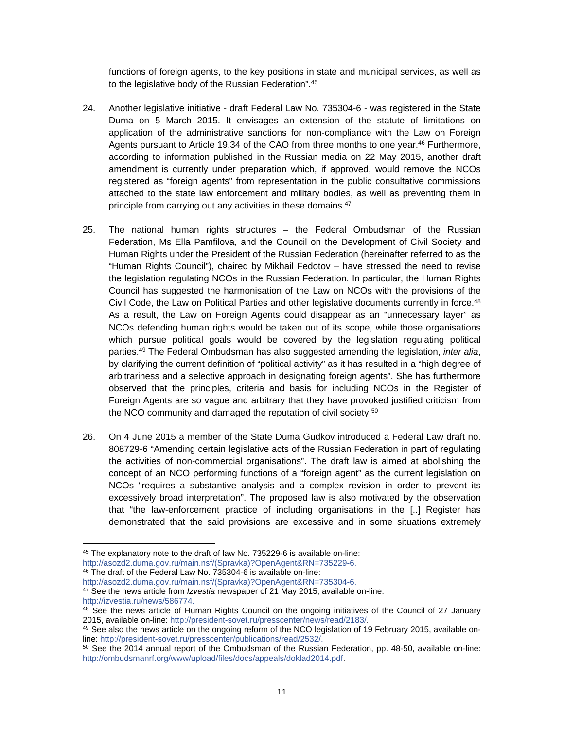functions of foreign agents, to the key positions in state and municipal services, as well as to the legislative body of the Russian Federation".<sup>45</sup>

- 24. Another legislative initiative draft Federal Law No. 735304-6 was registered in the State Duma on 5 March 2015. It envisages an extension of the statute of limitations on application of the administrative sanctions for non-compliance with the Law on Foreign Agents pursuant to Article 19.34 of the CAO from three months to one year.<sup>46</sup> Furthermore, according to information published in the Russian media on 22 May 2015, another draft amendment is currently under preparation which, if approved, would remove the NCOs registered as "foreign agents" from representation in the public consultative commissions attached to the state law enforcement and military bodies, as well as preventing them in principle from carrying out any activities in these domains.<sup>47</sup>
- 25. The national human rights structures the Federal Ombudsman of the Russian Federation, Ms Ella Pamfilova, and the Council on the Development of Civil Society and Human Rights under the President of the Russian Federation (hereinafter referred to as the "Human Rights Council"), chaired by Mikhail Fedotov – have stressed the need to revise the legislation regulating NCOs in the Russian Federation. In particular, the Human Rights Council has suggested the harmonisation of the Law on NCOs with the provisions of the Civil Code, the Law on Political Parties and other legislative documents currently in force.<sup>48</sup> As a result, the Law on Foreign Agents could disappear as an "unnecessary layer" as NCOs defending human rights would be taken out of its scope, while those organisations which pursue political goals would be covered by the legislation regulating political parties.<sup>49</sup> The Federal Ombudsman has also suggested amending the legislation, *inter alia*, by clarifying the current definition of "political activity" as it has resulted in a "high degree of arbitrariness and a selective approach in designating foreign agents". She has furthermore observed that the principles, criteria and basis for including NCOs in the Register of Foreign Agents are so vague and arbitrary that they have provoked justified criticism from the NCO community and damaged the reputation of civil society.<sup>50</sup>
- 26. On 4 June 2015 a member of the State Duma Gudkov introduced a Federal Law draft no. 808729-6 "Amending certain legislative acts of the Russian Federation in part of regulating the activities of non-commercial organisations". The draft law is aimed at abolishing the concept of an NCO performing functions of a "foreign agent" as the current legislation on NCOs "requires a substantive analysis and a complex revision in order to prevent its excessively broad interpretation". The proposed law is also motivated by the observation that "the law-enforcement practice of including organisations in the [..] Register has demonstrated that the said provisions are excessive and in some situations extremely

<sup>45</sup> The explanatory note to the draft of law No. 735229-6 is available on-line:

[http://asozd2.duma.gov.ru/main.nsf/\(Spravka\)?OpenAgent&RN=735229-6.](http://asozd2.duma.gov.ru/main.nsf/(Spravka)?OpenAgent&RN=735229-6)

<sup>46</sup> The draft of the Federal Law No. 735304-6 is available on-line: [http://asozd2.duma.gov.ru/main.nsf/\(Spravka\)?OpenAgent&RN=735304-6.](http://asozd2.duma.gov.ru/main.nsf/(Spravka)?OpenAgent&RN=735304-6)

<sup>47</sup> See the news article from *Izvestia* newspaper of 21 May 2015, available on-line: [http://izvestia.ru/news/586774.](http://izvestia.ru/news/586774)

<sup>&</sup>lt;sup>48</sup> See the news article of Human Rights Council on the ongoing initiatives of the Council of 27 January 2015, available on-line: <http://president-sovet.ru/presscenter/news/read/2183/>.

<sup>49</sup> See also the news article on the ongoing reform of the NCO legislation of 19 February 2015, available online: <http://president-sovet.ru/presscenter/publications/read/2532/>.

<sup>50</sup> See the 2014 annual report of the Ombudsman of the Russian Federation, pp. 48-50, available on-line: [http://ombudsmanrf.org/www/upload/files/docs/appeals/doklad2014.pdf.](http://ombudsmanrf.org/www/upload/files/docs/appeals/doklad2014.pdf)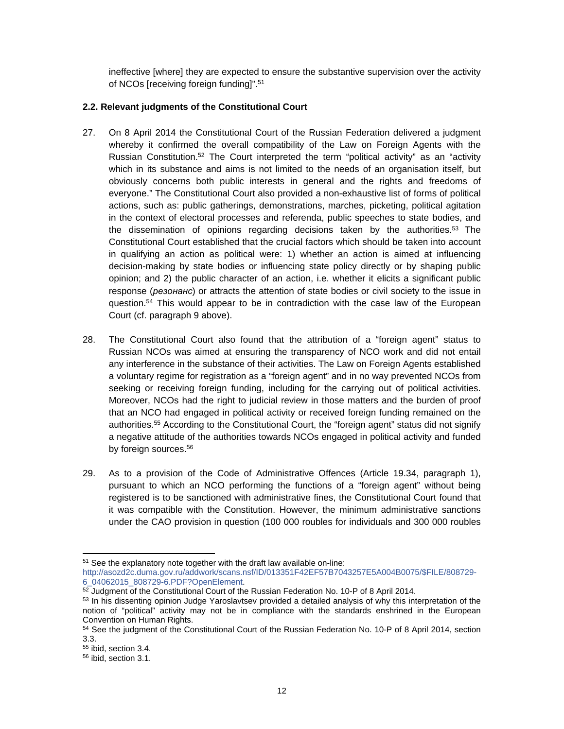ineffective [where] they are expected to ensure the substantive supervision over the activity of NCOs [receiving foreign funding]".<sup>51</sup>

## <span id="page-11-0"></span>**2.2. Relevant judgments of the Constitutional Court**

- 27. On 8 April 2014 the Constitutional Court of the Russian Federation delivered a judgment whereby it confirmed the overall compatibility of the Law on Foreign Agents with the Russian Constitution.<sup>52</sup> The Court interpreted the term "political activity" as an "activity which in its substance and aims is not limited to the needs of an organisation itself, but obviously concerns both public interests in general and the rights and freedoms of everyone." The Constitutional Court also provided a non-exhaustive list of forms of political actions, such as: public gatherings, demonstrations, marches, picketing, political agitation in the context of electoral processes and referenda, public speeches to state bodies, and the dissemination of opinions regarding decisions taken by the authorities.<sup>53</sup> The Constitutional Court established that the crucial factors which should be taken into account in qualifying an action as political were: 1) whether an action is aimed at influencing decision-making by state bodies or influencing state policy directly or by shaping public opinion; and 2) the public character of an action, i.e. whether it elicits a significant public response (*резонанс*) or attracts the attention of state bodies or civil society to the issue in question.<sup>54</sup> This would appear to be in contradiction with the case law of the European Court (cf. paragraph 9 above).
- 28. The Constitutional Court also found that the attribution of a "foreign agent" status to Russian NCOs was aimed at ensuring the transparency of NCO work and did not entail any interference in the substance of their activities. The Law on Foreign Agents established a voluntary regime for registration as a "foreign agent" and in no way prevented NCOs from seeking or receiving foreign funding, including for the carrying out of political activities. Moreover, NCOs had the right to judicial review in those matters and the burden of proof that an NCO had engaged in political activity or received foreign funding remained on the authorities.<sup>55</sup> According to the Constitutional Court, the "foreign agent" status did not signify a negative attitude of the authorities towards NCOs engaged in political activity and funded by foreign sources.<sup>56</sup>
- 29. As to a provision of the Code of Administrative Offences (Article 19.34, paragraph 1), pursuant to which an NCO performing the functions of a "foreign agent" without being registered is to be sanctioned with administrative fines, the Constitutional Court found that it was compatible with the Constitution. However, the minimum administrative sanctions under the CAO provision in question (100 000 roubles for individuals and 300 000 roubles

<sup>&</sup>lt;sup>51</sup> See the explanatory note together with the draft law available on-line:

[http://asozd2c.duma.gov.ru/addwork/scans.nsf/ID/013351F42EF57B7043257E5A004B0075/\\$FILE/808729-](http://asozd2c.duma.gov.ru/addwork/scans.nsf/ID/013351F42EF57B7043257E5A004B0075/$FILE/808729-6_04062015_808729-6.PDF?OpenElement) [6\\_04062015\\_808729-6.PDF?OpenElement](http://asozd2c.duma.gov.ru/addwork/scans.nsf/ID/013351F42EF57B7043257E5A004B0075/$FILE/808729-6_04062015_808729-6.PDF?OpenElement).

<sup>&</sup>lt;sup>52</sup> Judgment of the Constitutional Court of the Russian Federation No. 10-P of 8 April 2014.

<sup>53</sup> In his dissenting opinion Judge Yaroslavtsev provided a detailed analysis of why this interpretation of the notion of "political" activity may not be in compliance with the standards enshrined in the European Convention on Human Rights.

<sup>54</sup> See the judgment of the Constitutional Court of the Russian Federation No. 10-P of 8 April 2014, section 3.3.

<sup>55</sup> ibid, section 3.4.

<sup>56</sup> ibid, section 3.1.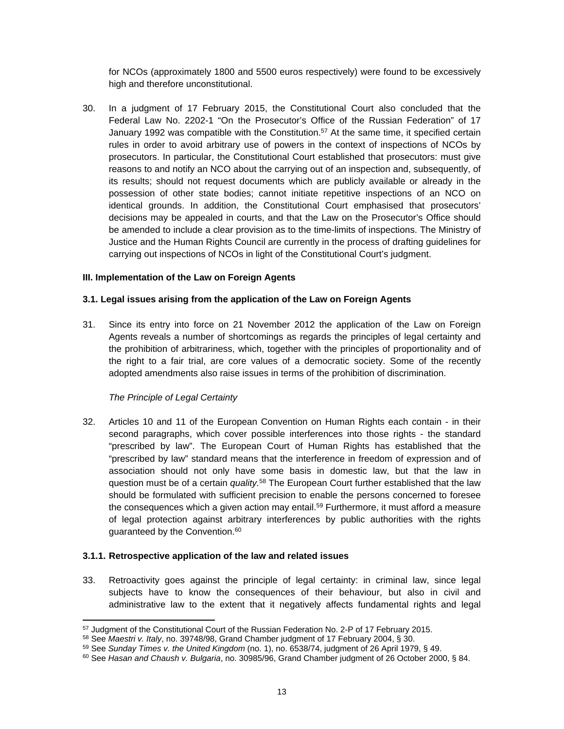for NCOs (approximately 1800 and 5500 euros respectively) were found to be excessively high and therefore unconstitutional.

30. In a judgment of 17 February 2015, the Constitutional Court also concluded that the Federal Law No. 2202-1 "On the Prosecutor's Office of the Russian Federation" of 17 January 1992 was compatible with the Constitution.<sup>57</sup> At the same time, it specified certain rules in order to avoid arbitrary use of powers in the context of inspections of NCOs by prosecutors. In particular, the Constitutional Court established that prosecutors: must give reasons to and notify an NCO about the carrying out of an inspection and, subsequently, of its results; should not request documents which are publicly available or already in the possession of other state bodies; cannot initiate repetitive inspections of an NCO on identical grounds. In addition, the Constitutional Court emphasised that prosecutors' decisions may be appealed in courts, and that the Law on the Prosecutor's Office should be amended to include a clear provision as to the time-limits of inspections. The Ministry of Justice and the Human Rights Council are currently in the process of drafting guidelines for carrying out inspections of NCOs in light of the Constitutional Court's judgment.

#### <span id="page-12-0"></span>**III. Implementation of the Law on Foreign Agents**

## <span id="page-12-1"></span>**3.1. Legal issues arising from the application of the Law on Foreign Agents**

31. Since its entry into force on 21 November 2012 the application of the Law on Foreign Agents reveals a number of shortcomings as regards the principles of legal certainty and the prohibition of arbitrariness, which, together with the principles of proportionality and of the right to a fair trial, are core values of a democratic society. Some of the recently adopted amendments also raise issues in terms of the prohibition of discrimination.

## *The Principle of Legal Certainty*

32. Articles 10 and 11 of the European Convention on Human Rights each contain - in their second paragraphs, which cover possible interferences into those rights - the standard "prescribed by law". The European Court of Human Rights has established that the "prescribed by law" standard means that the interference in freedom of expression and of association should not only have some basis in domestic law, but that the law in question must be of a certain *quality.*<sup>58</sup> The European Court further established that the law should be formulated with sufficient precision to enable the persons concerned to foresee the consequences which a given action may entail.<sup>59</sup> Furthermore, it must afford a measure of legal protection against arbitrary interferences by public authorities with the rights guaranteed by the Convention.<sup>60</sup>

#### **3.1.1. Retrospective application of the law and related issues**

33. Retroactivity goes against the principle of legal certainty: in criminal law, since legal subjects have to know the consequences of their behaviour, but also in civil and administrative law to the extent that it negatively affects fundamental rights and legal

<sup>57</sup> Judgment of the Constitutional Court of the Russian Federation No. 2-P of 17 February 2015.

<sup>58</sup> See *Maestri v. Italy*, no. 39748/98, Grand Chamber judgment of 17 February 2004, § 30.

<sup>59</sup> See *Sunday Times v. the United Kingdom* (no. 1), no. [6538/74](http://hudoc.echr.coe.int/sites/eng/Pages/search.aspx#{"appno":["6538/74"]}), judgment of 26 April 1979, § 49.

<sup>60</sup> See *Hasan and Chaush v. Bulgaria*, no. [30985/96](http://hudoc.echr.coe.int/sites/eng/Pages/search.aspx#{"appno":["30985/96"]}), Grand Chamber judgment of 26 October 2000, § 84.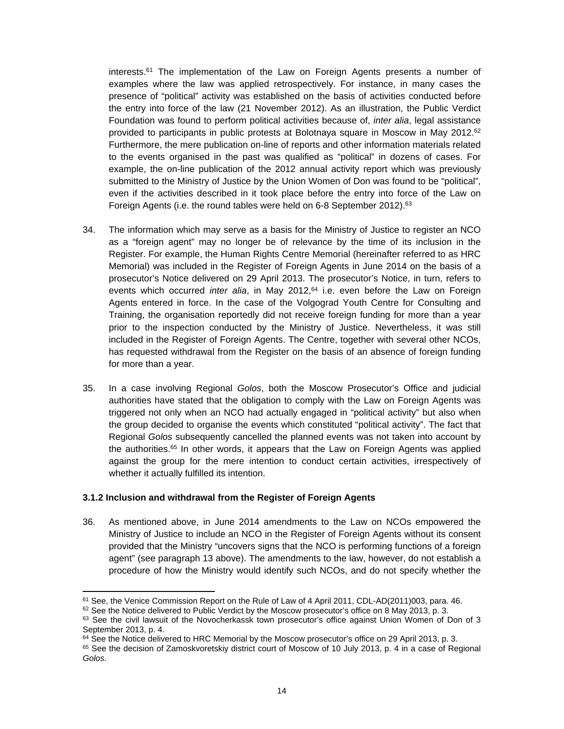interests.<sup>61</sup> The implementation of the Law on Foreign Agents presents a number of examples where the law was applied retrospectively. For instance, in many cases the presence of "political" activity was established on the basis of activities conducted before the entry into force of the law (21 November 2012). As an illustration, the Public Verdict Foundation was found to perform political activities because of, *inter alia*, legal assistance provided to participants in public protests at Bolotnaya square in Moscow in May 2012.<sup>62</sup> Furthermore, the mere publication on-line of reports and other information materials related to the events organised in the past was qualified as "political" in dozens of cases. For example, the on-line publication of the 2012 annual activity report which was previously submitted to the Ministry of Justice by the Union Women of Don was found to be "political", even if the activities described in it took place before the entry into force of the Law on Foreign Agents (i.e. the round tables were held on 6-8 September 2012).<sup>63</sup>

- 34. The information which may serve as a basis for the Ministry of Justice to register an NCO as a "foreign agent" may no longer be of relevance by the time of its inclusion in the Register. For example, the Human Rights Centre Memorial (hereinafter referred to as HRC Memorial) was included in the Register of Foreign Agents in June 2014 on the basis of a prosecutor's Notice delivered on 29 April 2013. The prosecutor's Notice, in turn, refers to events which occurred *inter alia*, in May 2012,<sup>64</sup> i.e. even before the Law on Foreign Agents entered in force. In the case of the Volgograd Youth Centre for Consulting and Training, the organisation reportedly did not receive foreign funding for more than a year prior to the inspection conducted by the Ministry of Justice. Nevertheless, it was still included in the Register of Foreign Agents. The Centre, together with several other NCOs, has requested withdrawal from the Register on the basis of an absence of foreign funding for more than a year.
- 35. In a case involving Regional *Golos*, both the Moscow Prosecutor's Office and judicial authorities have stated that the obligation to comply with the Law on Foreign Agents was triggered not only when an NCO had actually engaged in "political activity" but also when the group decided to organise the events which constituted "political activity". The fact that Regional *Golos* subsequently cancelled the planned events was not taken into account by the authorities.<sup>65</sup> In other words, it appears that the Law on Foreign Agents was applied against the group for the mere intention to conduct certain activities, irrespectively of whether it actually fulfilled its intention.

#### **3.1.2 Inclusion and withdrawal from the Register of Foreign Agents**

36. As mentioned above, in June 2014 amendments to the Law on NCOs empowered the Ministry of Justice to include an NCO in the Register of Foreign Agents without its consent provided that the Ministry "uncovers signs that the NCO is performing functions of a foreign agent" (see paragraph 13 above). The amendments to the law, however, do not establish a procedure of how the Ministry would identify such NCOs, and do not specify whether the

 $61$  See, the Venice Commission Report on the Rule of Law of 4 April 2011, CDL-AD(2011)003, para. 46.

 $62$  See the Notice delivered to Public Verdict by the Moscow prosecutor's office on 8 May 2013, p. 3.

 $63$  See the civil lawsuit of the Novocherkassk town prosecutor's office against Union Women of Don of 3 September 2013, p. 4.

 $64$  See the Notice delivered to HRC Memorial by the Moscow prosecutor's office on 29 April 2013, p. 3.

<sup>65</sup> See the decision of Zamoskvoretskiy district court of Moscow of 10 July 2013, p. 4 in a case of Regional *Golos*.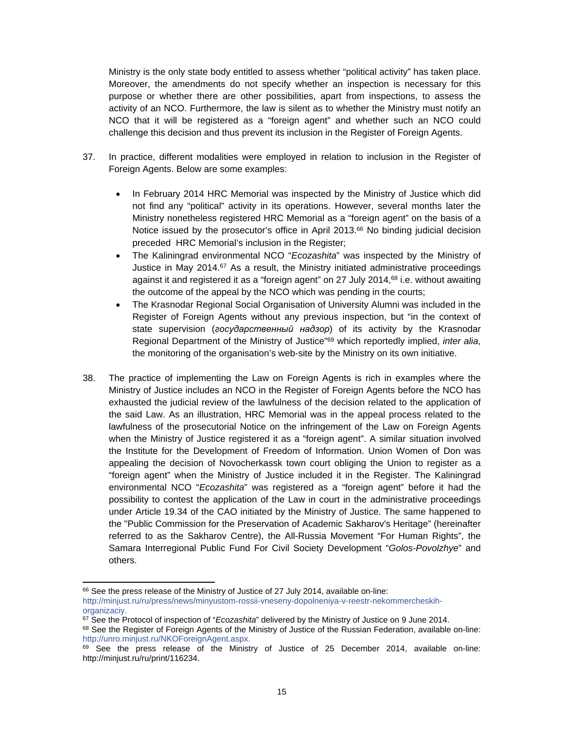Ministry is the only state body entitled to assess whether "political activity" has taken place. Moreover, the amendments do not specify whether an inspection is necessary for this purpose or whether there are other possibilities, apart from inspections, to assess the activity of an NCO. Furthermore, the law is silent as to whether the Ministry must notify an NCO that it will be registered as a "foreign agent" and whether such an NCO could challenge this decision and thus prevent its inclusion in the Register of Foreign Agents.

- 37. In practice, different modalities were employed in relation to inclusion in the Register of Foreign Agents. Below are some examples:
	- In February 2014 HRC Memorial was inspected by the Ministry of Justice which did not find any "political" activity in its operations. However, several months later the Ministry nonetheless registered HRC Memorial as a "foreign agent" on the basis of a Notice issued by the prosecutor's office in April 2013.<sup>66</sup> No binding judicial decision preceded HRC Memorial's inclusion in the Register;
	- The Kaliningrad environmental NCO "*Ecozashita*" was inspected by the Ministry of Justice in May 2014.<sup>67</sup> As a result, the Ministry initiated administrative proceedings against it and registered it as a "foreign agent" on 27 July 2014,<sup>68</sup> i.e. without awaiting the outcome of the appeal by the NCO which was pending in the courts;
	- The Krasnodar Regional Social Organisation of University Alumni was included in the Register of Foreign Agents without any previous inspection, but "in the context of state supervision (*государственный надзор*) of its activity by the Krasnodar Regional Department of the Ministry of Justice"<sup>69</sup> which reportedly implied, *inter alia*, the monitoring of the organisation's web-site by the Ministry on its own initiative.
- 38. The practice of implementing the Law on Foreign Agents is rich in examples where the Ministry of Justice includes an NCO in the Register of Foreign Agents before the NCO has exhausted the judicial review of the lawfulness of the decision related to the application of the said Law. As an illustration, HRC Memorial was in the appeal process related to the lawfulness of the prosecutorial Notice on the infringement of the Law on Foreign Agents when the Ministry of Justice registered it as a "foreign agent". A similar situation involved the Institute for the Development of Freedom of Information. Union Women of Don was appealing the decision of Novocherkassk town court obliging the Union to register as a "foreign agent" when the Ministry of Justice included it in the Register. The Kaliningrad environmental NCO "*Ecozashita*" was registered as a "foreign agent" before it had the possibility to contest the application of the Law in court in the administrative proceedings under Article 19.34 of the CAO initiated by the Ministry of Justice. The same happened to the "Public Commission for the Preservation of Academic Sakharov's Heritage" (hereinafter referred to as the Sakharov Centre), the All-Russia Movement "For Human Rights", the Samara Interregional Public Fund For Civil Society Development "*Golos-Povolzhye*" and others.

<sup>&</sup>lt;sup>66</sup> See the press release of the Ministry of Justice of 27 July 2014, available on-line: [http://minjust.ru/ru/press/news/minyustom-rossii-vneseny-dopolneniya-v-reestr-nekommercheskih](http://minjust.ru/ru/press/news/minyustom-rossii-vneseny-dopolneniya-v-reestr-nekommercheskih-organizaciy)[organizaciy](http://minjust.ru/ru/press/news/minyustom-rossii-vneseny-dopolneniya-v-reestr-nekommercheskih-organizaciy).

<sup>67</sup> See the Protocol of inspection of "*Ecozashita*" delivered by the Ministry of Justice on 9 June 2014.

<sup>68</sup> See the Register of Foreign Agents of the Ministry of Justice of the Russian Federation, available on-line: <http://unro.minjust.ru/NKOForeignAgent.aspx>.

<sup>69</sup> See the press release of the Ministry of Justice of 25 December 2014, available on-line: <http://minjust.ru/ru/print/116234>.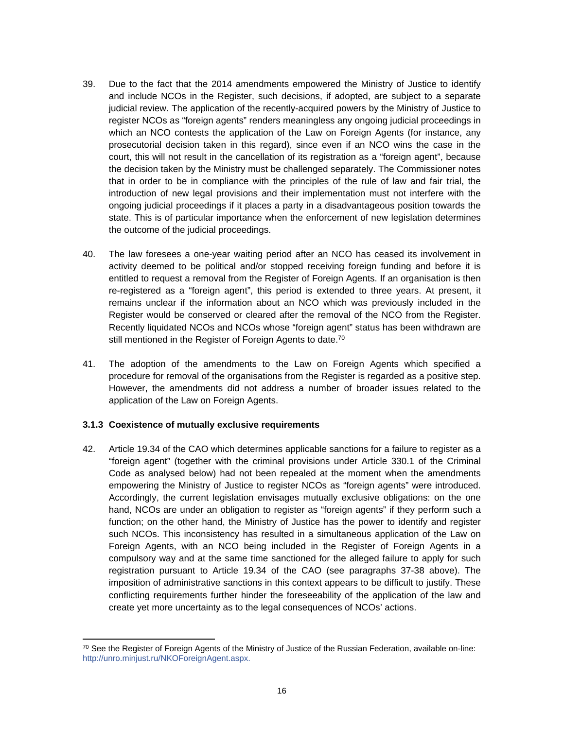- 39. Due to the fact that the 2014 amendments empowered the Ministry of Justice to identify and include NCOs in the Register, such decisions, if adopted, are subject to a separate judicial review. The application of the recently-acquired powers by the Ministry of Justice to register NCOs as "foreign agents" renders meaningless any ongoing judicial proceedings in which an NCO contests the application of the Law on Foreign Agents (for instance, any prosecutorial decision taken in this regard), since even if an NCO wins the case in the court, this will not result in the cancellation of its registration as a "foreign agent", because the decision taken by the Ministry must be challenged separately. The Commissioner notes that in order to be in compliance with the principles of the rule of law and fair trial, the introduction of new legal provisions and their implementation must not interfere with the ongoing judicial proceedings if it places a party in a disadvantageous position towards the state. This is of particular importance when the enforcement of new legislation determines the outcome of the judicial proceedings.
- 40. The law foresees a one-year waiting period after an NCO has ceased its involvement in activity deemed to be political and/or stopped receiving foreign funding and before it is entitled to request a removal from the Register of Foreign Agents. If an organisation is then re-registered as a "foreign agent", this period is extended to three years. At present, it remains unclear if the information about an NCO which was previously included in the Register would be conserved or cleared after the removal of the NCO from the Register. Recently liquidated NCOs and NCOs whose "foreign agent" status has been withdrawn are still mentioned in the Register of Foreign Agents to date.<sup>70</sup>
- 41. The adoption of the amendments to the Law on Foreign Agents which specified a procedure for removal of the organisations from the Register is regarded as a positive step. However, the amendments did not address a number of broader issues related to the application of the Law on Foreign Agents.

## **3.1.3 Coexistence of mutually exclusive requirements**

42. Article 19.34 of the CAO which determines applicable sanctions for a failure to register as a "foreign agent" (together with the criminal provisions under Article 330.1 of the Criminal Code as analysed below) had not been repealed at the moment when the amendments empowering the Ministry of Justice to register NCOs as "foreign agents" were introduced. Accordingly, the current legislation envisages mutually exclusive obligations: on the one hand, NCOs are under an obligation to register as "foreign agents" if they perform such a function; on the other hand, the Ministry of Justice has the power to identify and register such NCOs. This inconsistency has resulted in a simultaneous application of the Law on Foreign Agents, with an NCO being included in the Register of Foreign Agents in a compulsory way and at the same time sanctioned for the alleged failure to apply for such registration pursuant to Article 19.34 of the CAO (see paragraphs 37-38 above). The imposition of administrative sanctions in this context appears to be difficult to justify. These conflicting requirements further hinder the foreseeability of the application of the law and create yet more uncertainty as to the legal consequences of NCOs' actions.

<sup>70</sup> See the Register of Foreign Agents of the Ministry of Justice of the Russian Federation, available on-line: <http://unro.minjust.ru/NKOForeignAgent.aspx>.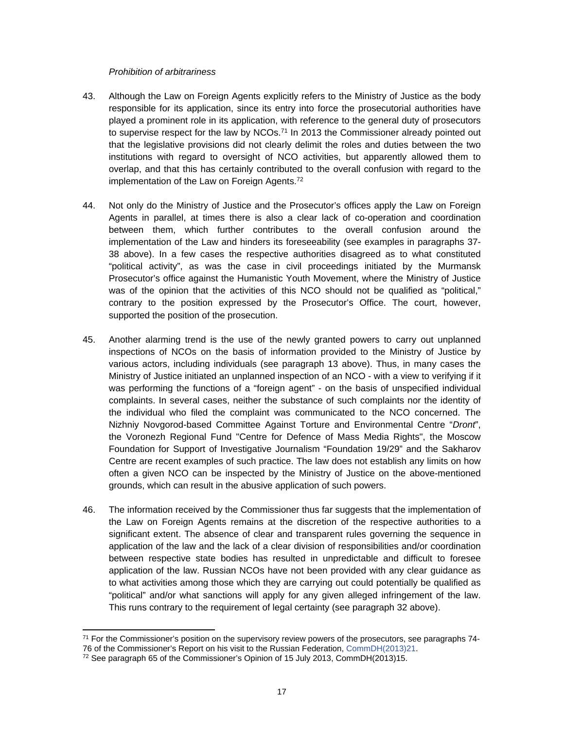#### *Prohibition of arbitrariness*

- 43. Although the Law on Foreign Agents explicitly refers to the Ministry of Justice as the body responsible for its application, since its entry into force the prosecutorial authorities have played a prominent role in its application, with reference to the general duty of prosecutors to supervise respect for the law by  $NCOs$ .<sup>71</sup> In 2013 the Commissioner already pointed out that the legislative provisions did not clearly delimit the roles and duties between the two institutions with regard to oversight of NCO activities, but apparently allowed them to overlap, and that this has certainly contributed to the overall confusion with regard to the implementation of the Law on Foreign Agents.<sup>72</sup>
- 44. Not only do the Ministry of Justice and the Prosecutor's offices apply the Law on Foreign Agents in parallel, at times there is also a clear lack of co-operation and coordination between them, which further contributes to the overall confusion around the implementation of the Law and hinders its foreseeability (see examples in paragraphs 37- 38 above). In a few cases the respective authorities disagreed as to what constituted "political activity", as was the case in civil proceedings initiated by the Murmansk Prosecutor's office against the Humanistic Youth Movement, where the Ministry of Justice was of the opinion that the activities of this NCO should not be qualified as "political," contrary to the position expressed by the Prosecutor's Office. The court, however, supported the position of the prosecution.
- 45. Another alarming trend is the use of the newly granted powers to carry out unplanned inspections of NCOs on the basis of information provided to the Ministry of Justice by various actors, including individuals (see paragraph 13 above). Thus, in many cases the Ministry of Justice initiated an unplanned inspection of an NCO - with a view to verifying if it was performing the functions of a "foreign agent" - on the basis of unspecified individual complaints. In several cases, neither the substance of such complaints nor the identity of the individual who filed the complaint was communicated to the NCO concerned. The Nizhniy Novgorod-based Committee Against Torture and Environmental Centre "*Dront*", the Voronezh Regional Fund "Centre for Defence of Mass Media Rights", the Moscow Foundation for Support of Investigative Journalism "Foundation 19/29" and the Sakharov Centre are recent examples of such practice. The law does not establish any limits on how often a given NCO can be inspected by the Ministry of Justice on the above-mentioned grounds, which can result in the abusive application of such powers.
- 46. The information received by the Commissioner thus far suggests that the implementation of the Law on Foreign Agents remains at the discretion of the respective authorities to a significant extent. The absence of clear and transparent rules governing the sequence in application of the law and the lack of a clear division of responsibilities and/or coordination between respective state bodies has resulted in unpredictable and difficult to foresee application of the law. Russian NCOs have not been provided with any clear guidance as to what activities among those which they are carrying out could potentially be qualified as "political" and/or what sanctions will apply for any given alleged infringement of the law. This runs contrary to the requirement of legal certainty (see paragraph 32 above).

 $71$  For the Commissioner's position on the supervisory review powers of the prosecutors, see paragraphs  $74$ -76 of the Commissioner's Report on his visit to the Russian Federation, [CommDH\(2013\)21.](http://www.coe.int/en/web/commissioner/-/russia-must-strengthen-the-independence-and-the-impartiality-of-the-judiciary?inheritRedirect=true&redirect=%2Fen%2Fweb%2Fcommissioner%2Fcountry-report%2Frussian-federation)

<sup>72</sup> See paragraph 65 of the Commissioner's Opinion of 15 July 2013, CommDH(2013)15.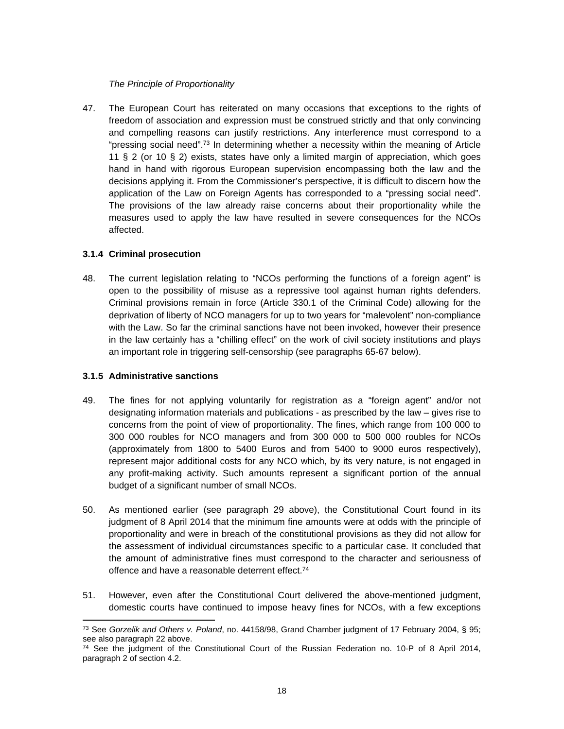#### *The Principle of Proportionality*

47. The European Court has reiterated on many occasions that exceptions to the rights of freedom of association and expression must be construed strictly and that only convincing and compelling reasons can justify restrictions. Any interference must correspond to a "pressing social need".<sup>73</sup> In determining whether a necessity within the meaning of Article 11 § 2 (or 10 § 2) exists, states have only a limited margin of appreciation, which goes hand in hand with rigorous European supervision encompassing both the law and the decisions applying it. From the Commissioner's perspective, it is difficult to discern how the application of the Law on Foreign Agents has corresponded to a "pressing social need". The provisions of the law already raise concerns about their proportionality while the measures used to apply the law have resulted in severe consequences for the NCOs affected.

## **3.1.4 Criminal prosecution**

48. The current legislation relating to "NCOs performing the functions of a foreign agent" is open to the possibility of misuse as a repressive tool against human rights defenders. Criminal provisions remain in force (Article 330.1 of the Criminal Code) allowing for the deprivation of liberty of NCO managers for up to two years for "malevolent" non-compliance with the Law. So far the criminal sanctions have not been invoked, however their presence in the law certainly has a "chilling effect" on the work of civil society institutions and plays an important role in triggering self-censorship (see paragraphs 65-67 below).

## **3.1.5 Administrative sanctions**

- 49. The fines for not applying voluntarily for registration as a "foreign agent" and/or not designating information materials and publications - as prescribed by the law – gives rise to concerns from the point of view of proportionality. The fines, which range from 100 000 to 300 000 roubles for NCO managers and from 300 000 to 500 000 roubles for NCOs (approximately from 1800 to 5400 Euros and from 5400 to 9000 euros respectively), represent major additional costs for any NCO which, by its very nature, is not engaged in any profit-making activity. Such amounts represent a significant portion of the annual budget of a significant number of small NCOs.
- 50. As mentioned earlier (see paragraph 29 above), the Constitutional Court found in its judgment of 8 April 2014 that the minimum fine amounts were at odds with the principle of proportionality and were in breach of the constitutional provisions as they did not allow for the assessment of individual circumstances specific to a particular case. It concluded that the amount of administrative fines must correspond to the character and seriousness of offence and have a reasonable deterrent effect.<sup>74</sup>
- 51. However, even after the Constitutional Court delivered the above-mentioned judgment, domestic courts have continued to impose heavy fines for NCOs, with a few exceptions

<sup>73</sup> See *Gorzelik and Others v. Poland*, no. 44158/98, Grand Chamber judgment of 17 February 2004, § 95; see also paragraph 22 above.

<sup>74</sup> See the judgment of the Constitutional Court of the Russian Federation no. 10-P of 8 April 2014, paragraph 2 of section 4.2.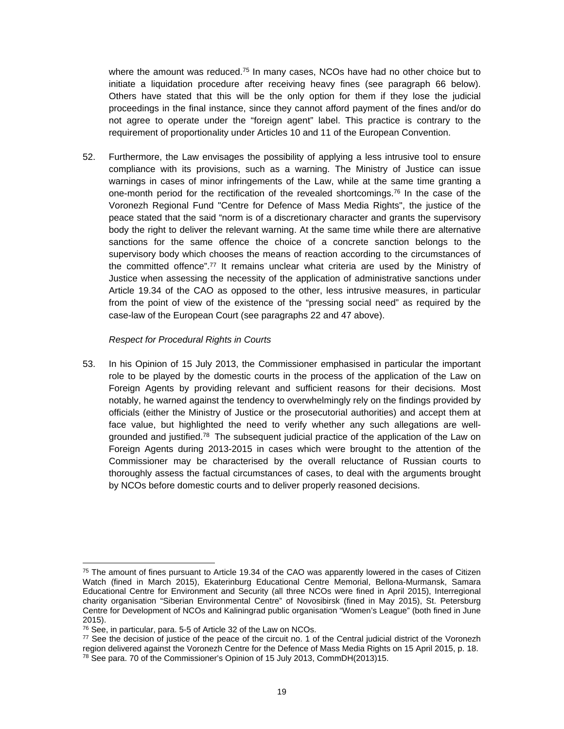where the amount was reduced.<sup>75</sup> In many cases, NCOs have had no other choice but to initiate a liquidation procedure after receiving heavy fines (see paragraph 66 below). Others have stated that this will be the only option for them if they lose the judicial proceedings in the final instance, since they cannot afford payment of the fines and/or do not agree to operate under the "foreign agent" label. This practice is contrary to the requirement of proportionality under Articles 10 and 11 of the European Convention.

52. Furthermore, the Law envisages the possibility of applying a less intrusive tool to ensure compliance with its provisions, such as a warning. The Ministry of Justice can issue warnings in cases of minor infringements of the Law, while at the same time granting a one-month period for the rectification of the revealed shortcomings.<sup>76</sup> In the case of the Voronezh Regional Fund "Centre for Defence of Mass Media Rights", the justice of the peace stated that the said "norm is of a discretionary character and grants the supervisory body the right to deliver the relevant warning. At the same time while there are alternative sanctions for the same offence the choice of a concrete sanction belongs to the supervisory body which chooses the means of reaction according to the circumstances of the committed offence".<sup>77</sup> It remains unclear what criteria are used by the Ministry of Justice when assessing the necessity of the application of administrative sanctions under Article 19.34 of the CAO as opposed to the other, less intrusive measures, in particular from the point of view of the existence of the "pressing social need" as required by the case-law of the European Court (see paragraphs 22 and 47 above).

#### *Respect for Procedural Rights in Courts*

53. In his Opinion of 15 July 2013, the Commissioner emphasised in particular the important role to be played by the domestic courts in the process of the application of the Law on Foreign Agents by providing relevant and sufficient reasons for their decisions. Most notably, he warned against the tendency to overwhelmingly rely on the findings provided by officials (either the Ministry of Justice or the prosecutorial authorities) and accept them at face value, but highlighted the need to verify whether any such allegations are wellgrounded and justified.<sup>78</sup> The subsequent judicial practice of the application of the Law on Foreign Agents during 2013-2015 in cases which were brought to the attention of the Commissioner may be characterised by the overall reluctance of Russian courts to thoroughly assess the factual circumstances of cases, to deal with the arguments brought by NCOs before domestic courts and to deliver properly reasoned decisions.

 $75$  The amount of fines pursuant to Article 19.34 of the CAO was apparently lowered in the cases of Citizen Watch (fined in March 2015), Ekaterinburg Educational Centre Memorial, Bellona-Murmansk, Samara Educational Centre for Environment and Security (all three NCOs were fined in April 2015), Interregional charity organisation "Siberian Environmental Centre" of Novosibirsk (fined in May 2015), St. Petersburg Centre for Development of NCOs and Kaliningrad public organisation "Women's League" (both fined in June 2015).

<sup>76</sup> See, in particular, para. 5-5 of Article 32 of the Law on NCOs.

<sup>&</sup>lt;sup>77</sup> See the decision of justice of the peace of the circuit no. 1 of the Central judicial district of the Voronezh region delivered against the Voronezh Centre for the Defence of Mass Media Rights on 15 April 2015, p. 18. <sup>78</sup> See para. 70 of the Commissioner's Opinion of 15 July 2013, CommDH(2013)15.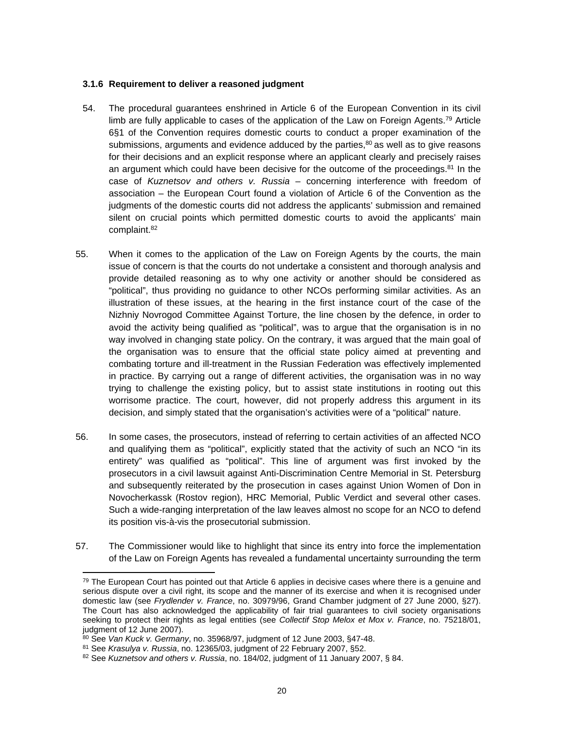#### **3.1.6 Requirement to deliver a reasoned judgment**

- 54. The procedural guarantees enshrined in Article 6 of the European Convention in its civil limb are fully applicable to cases of the application of the Law on Foreign Agents.<sup>79</sup> Article 6§1 of the Convention requires domestic courts to conduct a proper examination of the submissions, arguments and evidence adduced by the parties, $80$  as well as to give reasons for their decisions and an explicit response where an applicant clearly and precisely raises an argument which could have been decisive for the outcome of the proceedings.<sup>81</sup> In the case of *Kuznetsov and others v. Russia* – concerning interference with freedom of association – the European Court found a violation of Article 6 of the Convention as the judgments of the domestic courts did not address the applicants' submission and remained silent on crucial points which permitted domestic courts to avoid the applicants' main complaint.<sup>82</sup>
- 55. When it comes to the application of the Law on Foreign Agents by the courts, the main issue of concern is that the courts do not undertake a consistent and thorough analysis and provide detailed reasoning as to why one activity or another should be considered as "political", thus providing no guidance to other NCOs performing similar activities. As an illustration of these issues, at the hearing in the first instance court of the case of the Nizhniy Novrogod Committee Against Torture, the line chosen by the defence, in order to avoid the activity being qualified as "political", was to argue that the organisation is in no way involved in changing state policy. On the contrary, it was argued that the main goal of the organisation was to ensure that the official state policy aimed at preventing and combating torture and ill-treatment in the Russian Federation was effectively implemented in practice. By carrying out a range of different activities, the organisation was in no way trying to challenge the existing policy, but to assist state institutions in rooting out this worrisome practice. The court, however, did not properly address this argument in its decision, and simply stated that the organisation's activities were of a "political" nature.
- 56. In some cases, the prosecutors, instead of referring to certain activities of an affected NCO and qualifying them as "political", explicitly stated that the activity of such an NCO "in its entirety" was qualified as "political". This line of argument was first invoked by the prosecutors in a civil lawsuit against Anti-Discrimination Centre Memorial in St. Petersburg and subsequently reiterated by the prosecution in cases against Union Women of Don in Novocherkassk (Rostov region), HRC Memorial, Public Verdict and several other cases. Such a wide-ranging interpretation of the law leaves almost no scope for an NCO to defend its position vis-à-vis the prosecutorial submission.
- 57. The Commissioner would like to highlight that since its entry into force the implementation of the Law on Foreign Agents has revealed a fundamental uncertainty surrounding the term

 $79$  The European Court has pointed out that Article 6 applies in decisive cases where there is a genuine and serious dispute over a civil right, its scope and the manner of its exercise and when it is recognised under domestic law (see *Frydlender v. France*, no. 30979/96, Grand Chamber judgment of 27 June 2000, §27). The Court has also acknowledged the applicability of fair trial guarantees to civil society organisations seeking to protect their rights as legal entities (see *Collectif Stop Melox et Mox v. France*, no. 75218/01, judgment of 12 June 2007).

<sup>80</sup> See *Van Kuck v. Germany*, no. 35968/97, judgment of 12 June 2003, §47-48.

<sup>81</sup> See *Krasulya v. Russia*, no. 12365/03, judgment of 22 February 2007, §52.

<sup>82</sup> See *Kuznetsov and others v. Russia*, no. 184/02, judgment of 11 January 2007, § 84.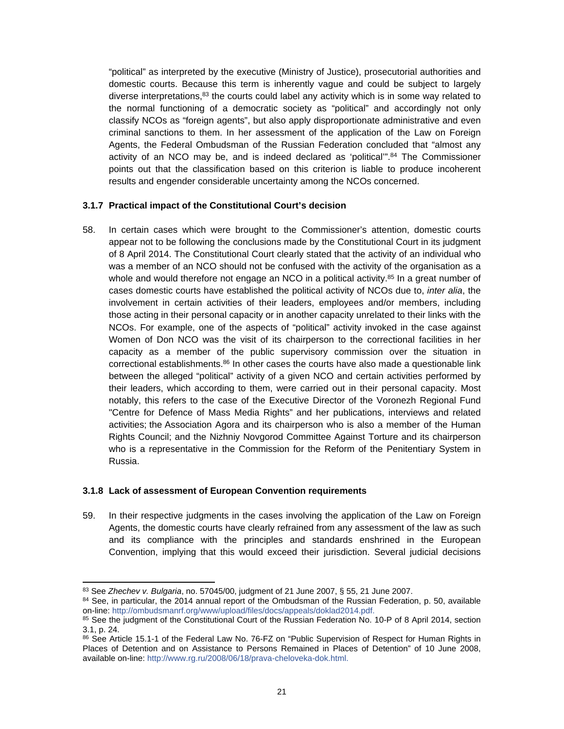"political" as interpreted by the executive (Ministry of Justice), prosecutorial authorities and domestic courts. Because this term is inherently vague and could be subject to largely diverse interpretations, $83$  the courts could label any activity which is in some way related to the normal functioning of a democratic society as "political" and accordingly not only classify NCOs as "foreign agents", but also apply disproportionate administrative and even criminal sanctions to them. In her assessment of the application of the Law on Foreign Agents, the Federal Ombudsman of the Russian Federation concluded that "almost any activity of an NCO may be, and is indeed declared as 'political'".<sup>84</sup> The Commissioner points out that the classification based on this criterion is liable to produce incoherent results and engender considerable uncertainty among the NCOs concerned.

#### **3.1.7 Practical impact of the Constitutional Court's decision**

58. In certain cases which were brought to the Commissioner's attention, domestic courts appear not to be following the conclusions made by the Constitutional Court in its judgment of 8 April 2014. The Constitutional Court clearly stated that the activity of an individual who was a member of an NCO should not be confused with the activity of the organisation as a whole and would therefore not engage an NCO in a political activity.<sup>85</sup> In a great number of cases domestic courts have established the political activity of NCOs due to, *inter alia*, the involvement in certain activities of their leaders, employees and/or members, including those acting in their personal capacity or in another capacity unrelated to their links with the NCOs. For example, one of the aspects of "political" activity invoked in the case against Women of Don NCO was the visit of its chairperson to the correctional facilities in her capacity as a member of the public supervisory commission over the situation in correctional establishments. $86$  In other cases the courts have also made a questionable link between the alleged "political" activity of a given NCO and certain activities performed by their leaders, which according to them, were carried out in their personal capacity. Most notably, this refers to the case of the Executive Director of the Voronezh Regional Fund "Centre for Defence of Mass Media Rights" and her publications, interviews and related activities; the Association Agora and its chairperson who is also a member of the Human Rights Council; and the Nizhniy Novgorod Committee Against Torture and its chairperson who is a representative in the Commission for the Reform of the Penitentiary System in Russia.

#### **3.1.8 Lack of assessment of European Convention requirements**

59. In their respective judgments in the cases involving the application of the Law on Foreign Agents, the domestic courts have clearly refrained from any assessment of the law as such and its compliance with the principles and standards enshrined in the European Convention, implying that this would exceed their jurisdiction. Several judicial decisions

<sup>83</sup> See *Zhechev v. Bulgaria*, no. 57045/00, judgment of 21 June 2007, § 55, 21 June 2007.

<sup>84</sup> See, in particular, the 2014 annual report of the Ombudsman of the Russian Federation, p. 50, available on-line: [http://ombudsmanrf.org/www/upload/files/docs/appeals/doklad2014.pdf.](http://ombudsmanrf.org/www/upload/files/docs/appeals/doklad2014.pdf)

<sup>&</sup>lt;sup>85</sup> See the judgment of the Constitutional Court of the Russian Federation No. 10-P of 8 April 2014, section 3.1, p. 24.

<sup>86</sup> See Article 15.1-1 of the Federal Law No. 76-FZ on "Public Supervision of Respect for Human Rights in Places of Detention and on Assistance to Persons Remained in Places of Detention" of 10 June 2008, available on-line: <http://www.rg.ru/2008/06/18/prava-cheloveka-dok.html>.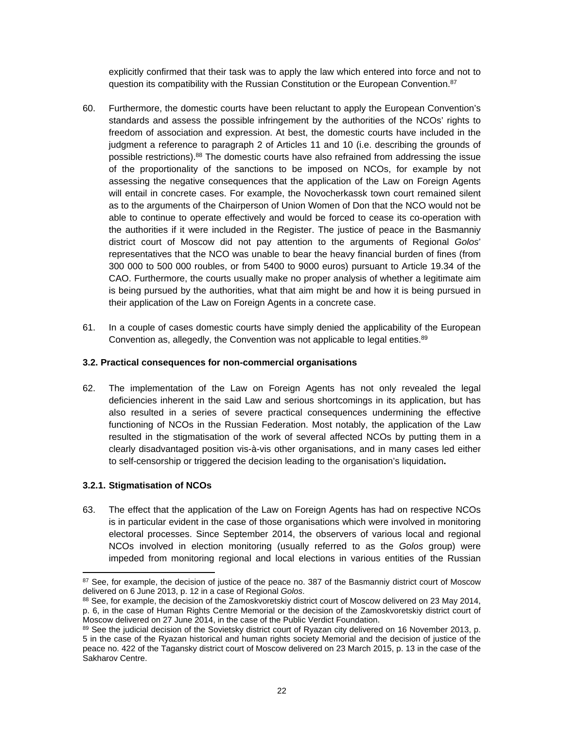explicitly confirmed that their task was to apply the law which entered into force and not to question its compatibility with the Russian Constitution or the European Convention.<sup>87</sup>

- 60. Furthermore, the domestic courts have been reluctant to apply the European Convention's standards and assess the possible infringement by the authorities of the NCOs' rights to freedom of association and expression. At best, the domestic courts have included in the judgment a reference to paragraph 2 of Articles 11 and 10 (i.e. describing the grounds of possible restrictions).<sup>88</sup> The domestic courts have also refrained from addressing the issue of the proportionality of the sanctions to be imposed on NCOs, for example by not assessing the negative consequences that the application of the Law on Foreign Agents will entail in concrete cases. For example, the Novocherkassk town court remained silent as to the arguments of the Chairperson of Union Women of Don that the NCO would not be able to continue to operate effectively and would be forced to cease its co-operation with the authorities if it were included in the Register. The justice of peace in the Basmanniy district court of Moscow did not pay attention to the arguments of Regional *Golos*' representatives that the NCO was unable to bear the heavy financial burden of fines (from 300 000 to 500 000 roubles, or from 5400 to 9000 euros) pursuant to Article 19.34 of the CAO. Furthermore, the courts usually make no proper analysis of whether a legitimate aim is being pursued by the authorities, what that aim might be and how it is being pursued in their application of the Law on Foreign Agents in a concrete case.
- 61. In a couple of cases domestic courts have simply denied the applicability of the European Convention as, allegedly, the Convention was not applicable to legal entities.<sup>89</sup>

## <span id="page-21-0"></span>**3.2. Practical consequences for non-commercial organisations**

62. The implementation of the Law on Foreign Agents has not only revealed the legal deficiencies inherent in the said Law and serious shortcomings in its application, but has also resulted in a series of severe practical consequences undermining the effective functioning of NCOs in the Russian Federation. Most notably, the application of the Law resulted in the stigmatisation of the work of several affected NCOs by putting them in a clearly disadvantaged position vis-à-vis other organisations, and in many cases led either to self-censorship or triggered the decision leading to the organisation's liquidation**.**

## **3.2.1. Stigmatisation of NCOs**

63. The effect that the application of the Law on Foreign Agents has had on respective NCOs is in particular evident in the case of those organisations which were involved in monitoring electoral processes. Since September 2014, the observers of various local and regional NCOs involved in election monitoring (usually referred to as the *Golos* group) were impeded from monitoring regional and local elections in various entities of the Russian

<sup>87</sup> See, for example, the decision of justice of the peace no. 387 of the Basmanniy district court of Moscow delivered on 6 June 2013, p. 12 in a case of Regional *Golos*.

<sup>88</sup> See, for example, the decision of the Zamoskvoretskiy district court of Moscow delivered on 23 May 2014, p. 6, in the case of Human Rights Centre Memorial or the decision of the Zamoskvoretskiy district court of Moscow delivered on 27 June 2014, in the case of the Public Verdict Foundation.

<sup>89</sup> See the judicial decision of the Sovietsky district court of Ryazan city delivered on 16 November 2013, p. 5 in the case of the Ryazan historical and human rights society Memorial and the decision of justice of the peace no. 422 of the Tagansky district court of Moscow delivered on 23 March 2015, p. 13 in the case of the Sakharov Centre.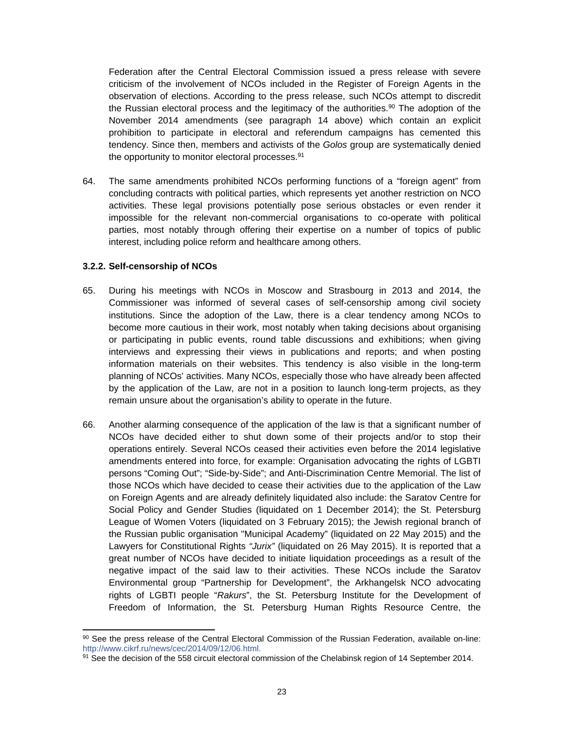Federation after the Central Electoral Commission issued a press release with severe criticism of the involvement of NCOs included in the Register of Foreign Agents in the observation of elections. According to the press release, such NCOs attempt to discredit the Russian electoral process and the legitimacy of the authorities.<sup>90</sup> The adoption of the November 2014 amendments (see paragraph 14 above) which contain an explicit prohibition to participate in electoral and referendum campaigns has cemented this tendency. Since then, members and activists of the *Golos* group are systematically denied the opportunity to monitor electoral processes.<sup>91</sup>

64. The same amendments prohibited NCOs performing functions of a "foreign agent" from concluding contracts with political parties, which represents yet another restriction on NCO activities. These legal provisions potentially pose serious obstacles or even render it impossible for the relevant non-commercial organisations to co-operate with political parties, most notably through offering their expertise on a number of topics of public interest, including police reform and healthcare among others.

#### **3.2.2. Self-censorship of NCOs**

- 65. During his meetings with NCOs in Moscow and Strasbourg in 2013 and 2014, the Commissioner was informed of several cases of self-censorship among civil society institutions. Since the adoption of the Law, there is a clear tendency among NCOs to become more cautious in their work, most notably when taking decisions about organising or participating in public events, round table discussions and exhibitions; when giving interviews and expressing their views in publications and reports; and when posting information materials on their websites. This tendency is also visible in the long-term planning of NCOs' activities. Many NCOs, especially those who have already been affected by the application of the Law, are not in a position to launch long-term projects, as they remain unsure about the organisation's ability to operate in the future.
- 66. Another alarming consequence of the application of the law is that a significant number of NCOs have decided either to shut down some of their projects and/or to stop their operations entirely. Several NCOs ceased their activities even before the 2014 legislative amendments entered into force, for example: Organisation advocating the rights of LGBTI persons "Coming Out"; "Side-by-Side"; and Anti-Discrimination Centre Memorial. The list of those NCOs which have decided to cease their activities due to the application of the Law on Foreign Agents and are already definitely liquidated also include: the Saratov Centre for Social Policy and Gender Studies (liquidated on 1 December 2014); the St. Petersburg League of Women Voters (liquidated on 3 February 2015); the Jewish regional branch of the Russian public organisation "Municipal Academy" (liquidated on 22 May 2015) and the Lawyers for Constitutional Rights *"Jurix"* (liquidated on 26 May 2015). It is reported that a great number of NCOs have decided to initiate liquidation proceedings as a result of the negative impact of the said law to their activities. These NCOs include the Saratov Environmental group "Partnership for Development", the Arkhangelsk NCO advocating rights of LGBTI people "*Rakurs*", the St. Petersburg Institute for the Development of Freedom of Information, the St. Petersburg Human Rights Resource Centre, the

<sup>90</sup> See the press release of the Central Electoral Commission of the Russian Federation, available on-line: [http://www.cikrf.ru/news/cec/2014/09/12/06.html.](http://www.cikrf.ru/news/cec/2014/09/12/06.html)

<sup>91</sup> See the decision of the 558 circuit electoral commission of the Chelabinsk region of 14 September 2014.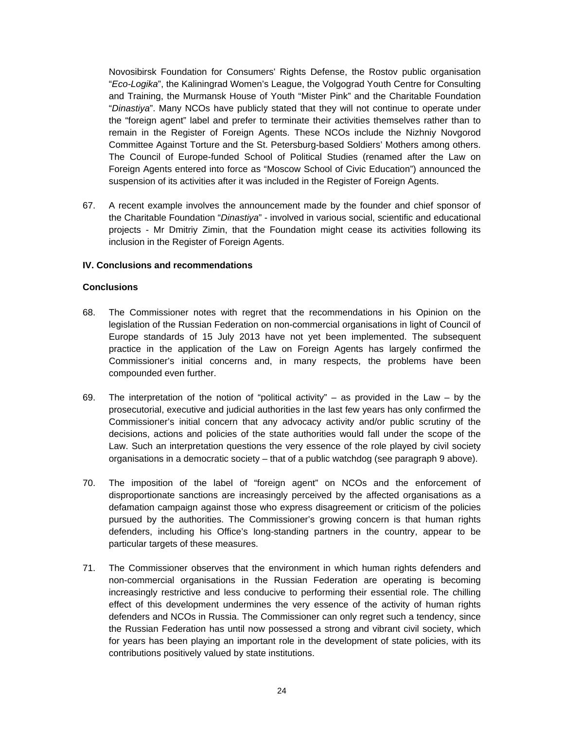Novosibirsk Foundation for Consumers' Rights Defense, the Rostov public organisation "*Eco-Logika*", the Kaliningrad Women's League, the Volgograd Youth Centre for Consulting and Training, the Murmansk House of Youth "Mister Pink" and the Charitable Foundation "*Dinastiya*". Many NCOs have publicly stated that they will not continue to operate under the "foreign agent" label and prefer to terminate their activities themselves rather than to remain in the Register of Foreign Agents. These NCOs include the Nizhniy Novgorod Committee Against Torture and the St. Petersburg-based Soldiers' Mothers among others. The Council of Europe-funded School of Political Studies (renamed after the Law on Foreign Agents entered into force as "Moscow School of Civic Education") announced the suspension of its activities after it was included in the Register of Foreign Agents.

67. A recent example involves the announcement made by the founder and chief sponsor of the Charitable Foundation "*Dinastiya*" - involved in various social, scientific and educational projects - Mr Dmitriy Zimin, that the Foundation might cease its activities following its inclusion in the Register of Foreign Agents.

#### <span id="page-23-0"></span>**IV. Conclusions and recommendations**

#### <span id="page-23-1"></span>**Conclusions**

- 68. The Commissioner notes with regret that the recommendations in his Opinion on the legislation of the Russian Federation on non-commercial organisations in light of Council of Europe standards of 15 July 2013 have not yet been implemented. The subsequent practice in the application of the Law on Foreign Agents has largely confirmed the Commissioner's initial concerns and, in many respects, the problems have been compounded even further.
- 69. The interpretation of the notion of "political activity" as provided in the Law by the prosecutorial, executive and judicial authorities in the last few years has only confirmed the Commissioner's initial concern that any advocacy activity and/or public scrutiny of the decisions, actions and policies of the state authorities would fall under the scope of the Law. Such an interpretation questions the very essence of the role played by civil society organisations in a democratic society – that of a public watchdog (see paragraph 9 above).
- 70. The imposition of the label of "foreign agent" on NCOs and the enforcement of disproportionate sanctions are increasingly perceived by the affected organisations as a defamation campaign against those who express disagreement or criticism of the policies pursued by the authorities. The Commissioner's growing concern is that human rights defenders, including his Office's long-standing partners in the country, appear to be particular targets of these measures.
- 71. The Commissioner observes that the environment in which human rights defenders and non-commercial organisations in the Russian Federation are operating is becoming increasingly restrictive and less conducive to performing their essential role. The chilling effect of this development undermines the very essence of the activity of human rights defenders and NCOs in Russia. The Commissioner can only regret such a tendency, since the Russian Federation has until now possessed a strong and vibrant civil society, which for years has been playing an important role in the development of state policies, with its contributions positively valued by state institutions.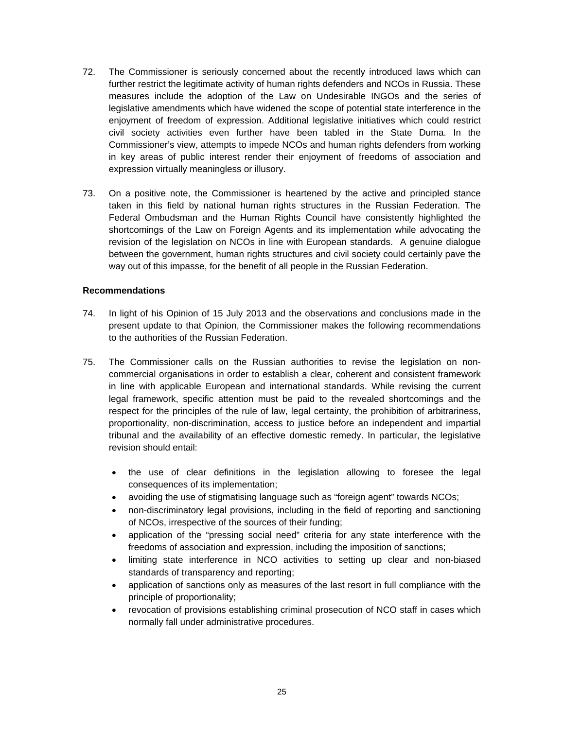- 72. The Commissioner is seriously concerned about the recently introduced laws which can further restrict the legitimate activity of human rights defenders and NCOs in Russia. These measures include the adoption of the Law on Undesirable INGOs and the series of legislative amendments which have widened the scope of potential state interference in the enjoyment of freedom of expression. Additional legislative initiatives which could restrict civil society activities even further have been tabled in the State Duma. In the Commissioner's view, attempts to impede NCOs and human rights defenders from working in key areas of public interest render their enjoyment of freedoms of association and expression virtually meaningless or illusory.
- 73. On a positive note, the Commissioner is heartened by the active and principled stance taken in this field by national human rights structures in the Russian Federation. The Federal Ombudsman and the Human Rights Council have consistently highlighted the shortcomings of the Law on Foreign Agents and its implementation while advocating the revision of the legislation on NCOs in line with European standards. A genuine dialogue between the government, human rights structures and civil society could certainly pave the way out of this impasse, for the benefit of all people in the Russian Federation.

#### <span id="page-24-0"></span>**Recommendations**

- 74. In light of his Opinion of 15 July 2013 and the observations and conclusions made in the present update to that Opinion, the Commissioner makes the following recommendations to the authorities of the Russian Federation.
- 75. The Commissioner calls on the Russian authorities to revise the legislation on noncommercial organisations in order to establish a clear, coherent and consistent framework in line with applicable European and international standards. While revising the current legal framework, specific attention must be paid to the revealed shortcomings and the respect for the principles of the rule of law, legal certainty, the prohibition of arbitrariness, proportionality, non-discrimination, access to justice before an independent and impartial tribunal and the availability of an effective domestic remedy. In particular, the legislative revision should entail:
	- the use of clear definitions in the legislation allowing to foresee the legal consequences of its implementation;
	- avoiding the use of stigmatising language such as "foreign agent" towards NCOs;
	- non-discriminatory legal provisions, including in the field of reporting and sanctioning of NCOs, irrespective of the sources of their funding;
	- application of the "pressing social need" criteria for any state interference with the freedoms of association and expression, including the imposition of sanctions;
	- limiting state interference in NCO activities to setting up clear and non-biased standards of transparency and reporting;
	- application of sanctions only as measures of the last resort in full compliance with the principle of proportionality;
	- revocation of provisions establishing criminal prosecution of NCO staff in cases which normally fall under administrative procedures.